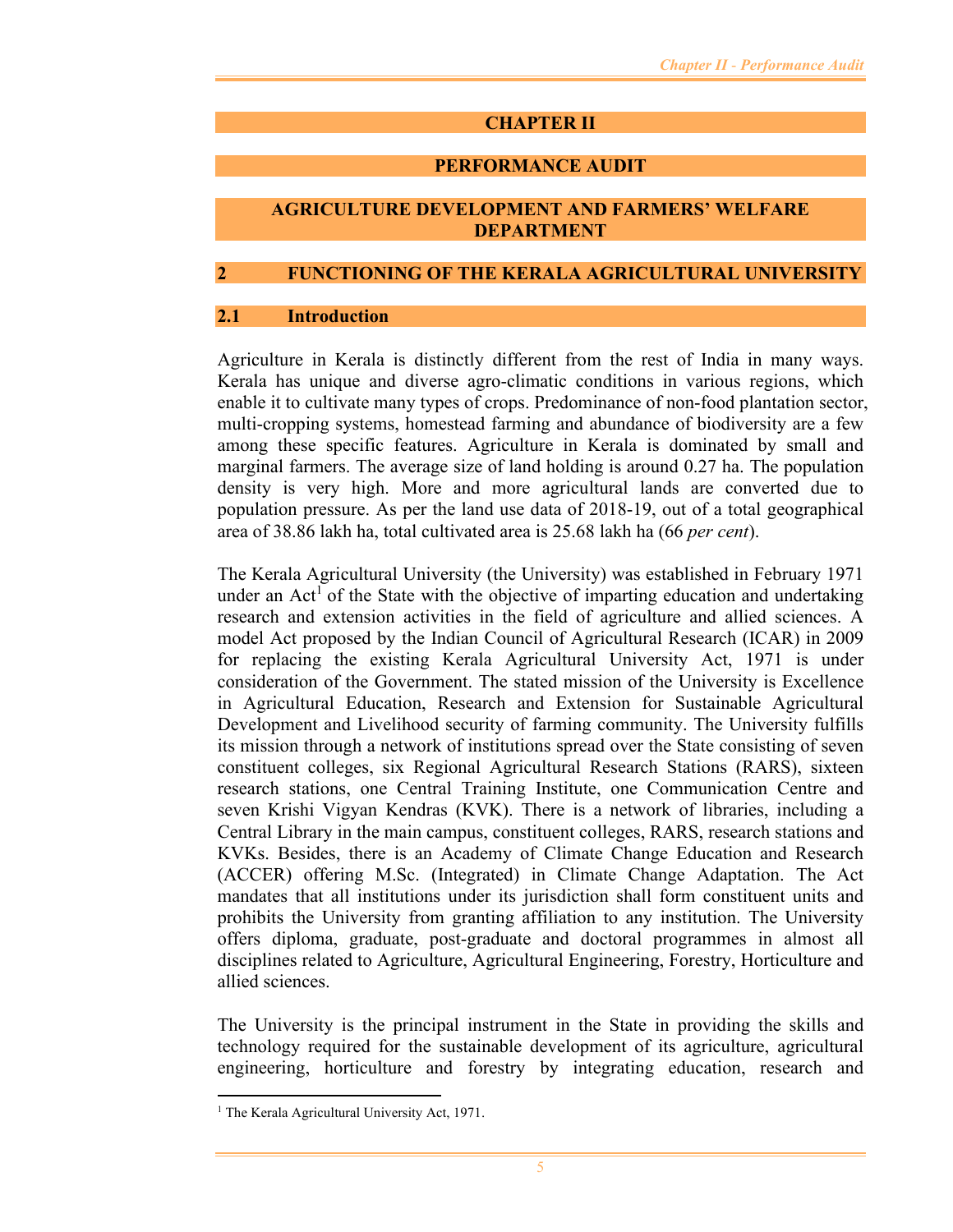# **CHAPTER II**

## **PERFORMANCE AUDIT**

### **AGRICULTURE DEVELOPMENT AND FARMERS' WELFARE DEPARTMENT**

### **2 FUNCTIONING OF THE KERALA AGRICULTURAL UNIVERSITY**

#### **2.1 Introduction**

Agriculture in Kerala is distinctly different from the rest of India in many ways. Kerala has unique and diverse agro-climatic conditions in various regions, which enable it to cultivate many types of crops. Predominance of non-food plantation sector, multi-cropping systems, homestead farming and abundance of biodiversity are a few among these specific features. Agriculture in Kerala is dominated by small and marginal farmers. The average size of land holding is around 0.27 ha. The population density is very high. More and more agricultural lands are converted due to population pressure. As per the land use data of 2018-19, out of a total geographical area of 38.86 lakh ha, total cultivated area is 25.68 lakh ha (66 *per cent*).

The Kerala Agricultural University (the University) was established in February 1971 under an Act<sup>1</sup> of the State with the objective of imparting education and undertaking research and extension activities in the field of agriculture and allied sciences. A model Act proposed by the Indian Council of Agricultural Research (ICAR) in 2009 for replacing the existing Kerala Agricultural University Act, 1971 is under consideration of the Government. The stated mission of the University is Excellence in Agricultural Education, Research and Extension for Sustainable Agricultural Development and Livelihood security of farming community. The University fulfills its mission through a network of institutions spread over the State consisting of seven constituent colleges, six Regional Agricultural Research Stations (RARS), sixteen research stations, one Central Training Institute, one Communication Centre and seven Krishi Vigyan Kendras (KVK). There is a network of libraries, including a Central Library in the main campus, constituent colleges, RARS, research stations and KVKs. Besides, there is an Academy of Climate Change Education and Research (ACCER) offering M.Sc. (Integrated) in Climate Change Adaptation. The Act mandates that all institutions under its jurisdiction shall form constituent units and prohibits the University from granting affiliation to any institution. The University offers diploma, graduate, post-graduate and doctoral programmes in almost all disciplines related to Agriculture, Agricultural Engineering, Forestry, Horticulture and allied sciences.

The University is the principal instrument in the State in providing the skills and technology required for the sustainable development of its agriculture, agricultural engineering, horticulture and forestry by integrating education, research and

<sup>&</sup>lt;sup>1</sup> The Kerala Agricultural University Act, 1971.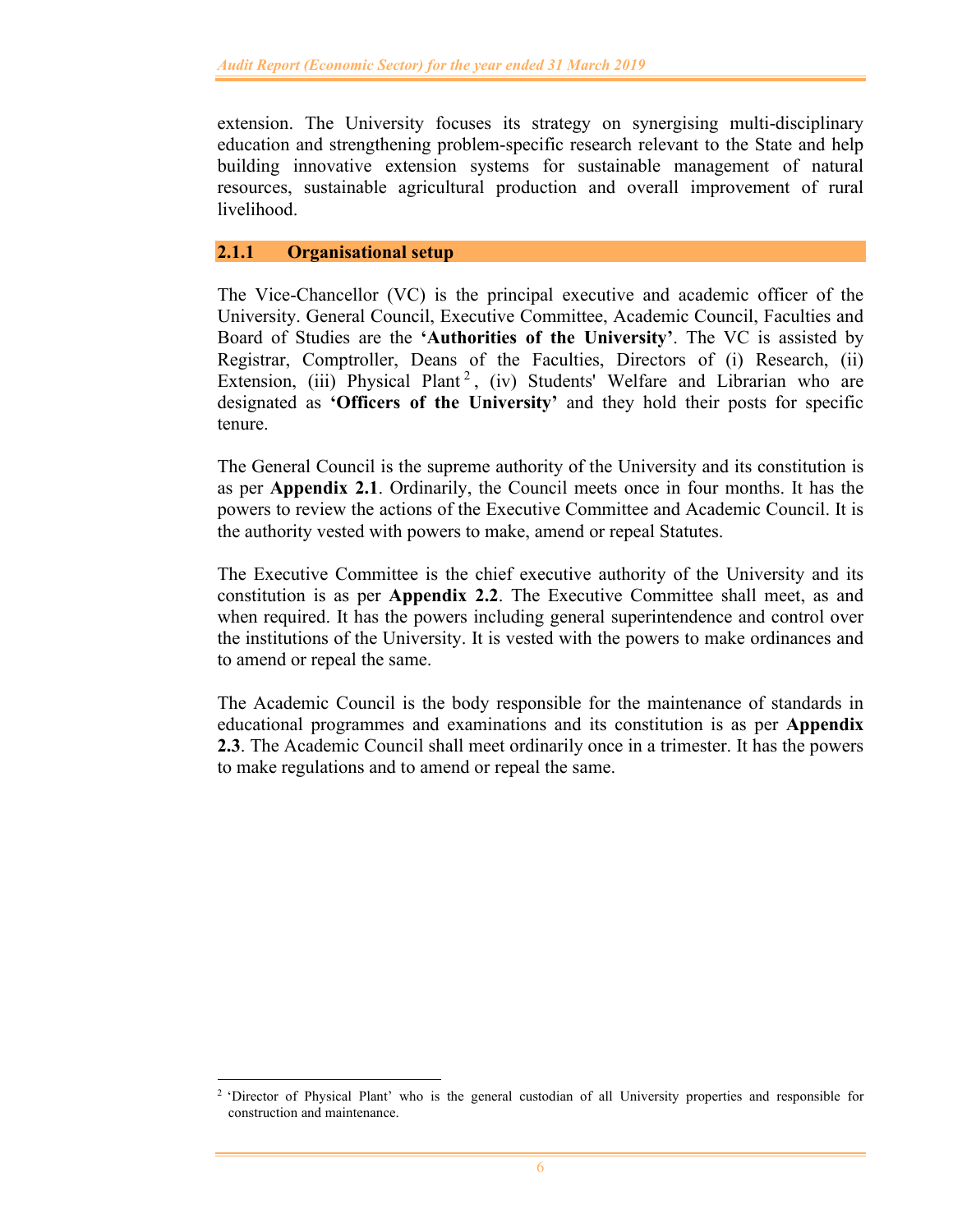extension. The University focuses its strategy on synergising multi-disciplinary education and strengthening problem-specific research relevant to the State and help building innovative extension systems for sustainable management of natural resources, sustainable agricultural production and overall improvement of rural livelihood.

### **2.1.1 Organisational setup**

The Vice-Chancellor (VC) is the principal executive and academic officer of the University. General Council, Executive Committee, Academic Council, Faculties and Board of Studies are the **'Authorities of the University'**. The VC is assisted by Registrar, Comptroller, Deans of the Faculties, Directors of (i) Research, (ii) Extension, (iii) Physical Plant<sup>2</sup>, (iv) Students' Welfare and Librarian who are designated as **'Officers of the University'** and they hold their posts for specific tenure.

The General Council is the supreme authority of the University and its constitution is as per **Appendix 2.1**. Ordinarily, the Council meets once in four months. It has the powers to review the actions of the Executive Committee and Academic Council. It is the authority vested with powers to make, amend or repeal Statutes.

The Executive Committee is the chief executive authority of the University and its constitution is as per **Appendix 2.2**. The Executive Committee shall meet, as and when required. It has the powers including general superintendence and control over the institutions of the University. It is vested with the powers to make ordinances and to amend or repeal the same.

The Academic Council is the body responsible for the maintenance of standards in educational programmes and examinations and its constitution is as per **Appendix 2.3**. The Academic Council shall meet ordinarily once in a trimester. It has the powers to make regulations and to amend or repeal the same.

<sup>&</sup>lt;sup>2</sup> 'Director of Physical Plant' who is the general custodian of all University properties and responsible for construction and maintenance.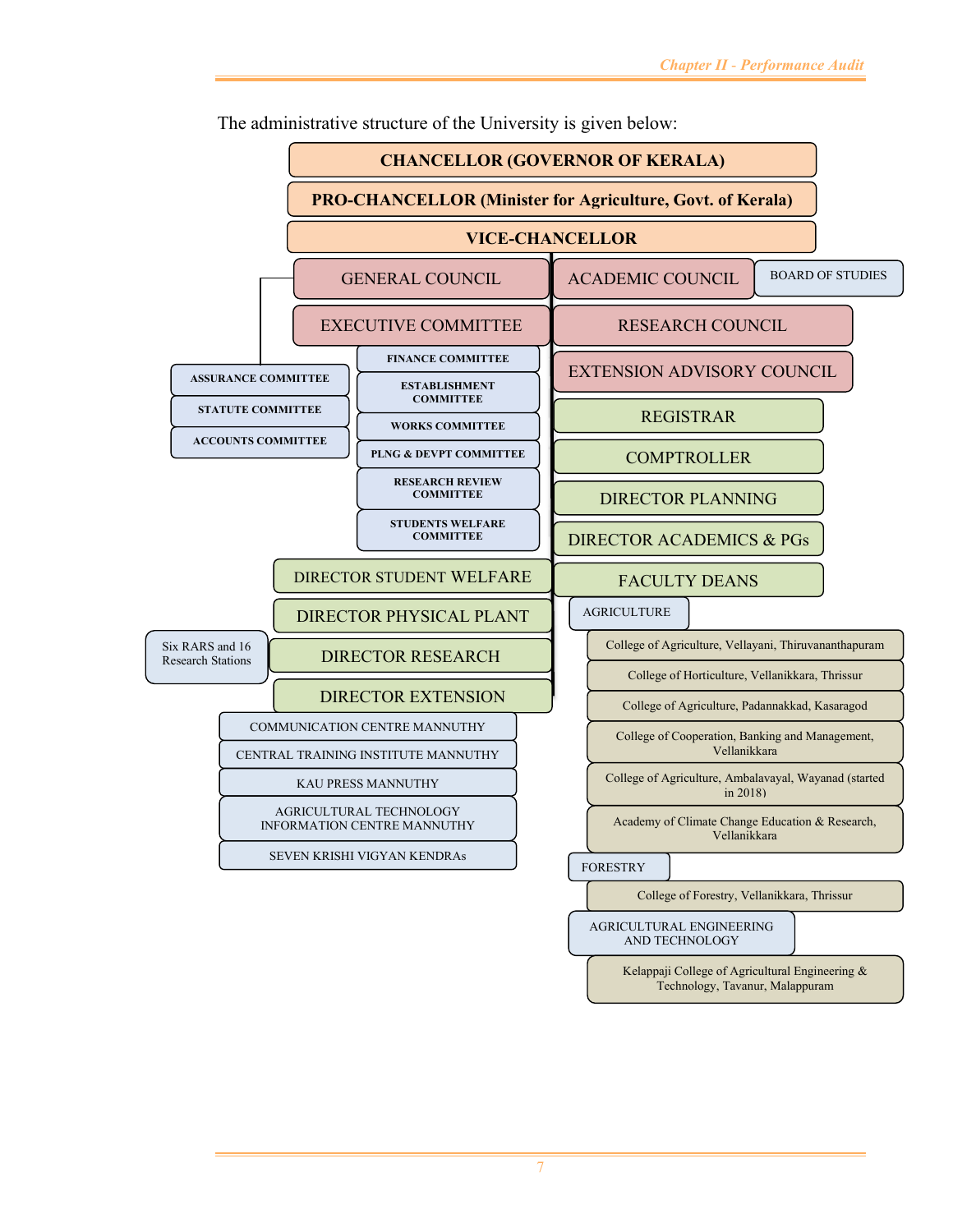

The administrative structure of the University is given below: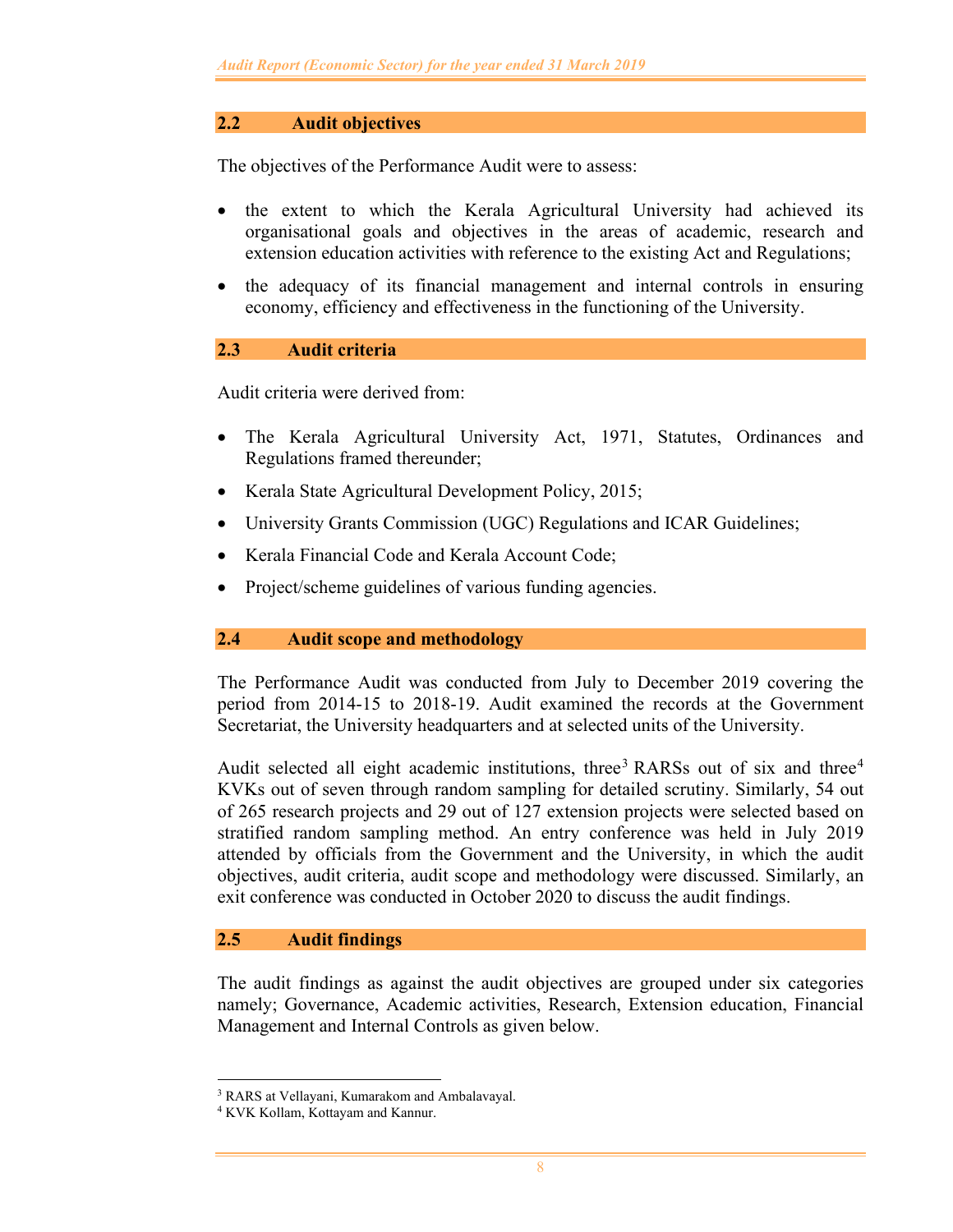## **2.2 Audit objectives**

The objectives of the Performance Audit were to assess:

- the extent to which the Kerala Agricultural University had achieved its organisational goals and objectives in the areas of academic, research and extension education activities with reference to the existing Act and Regulations;
- the adequacy of its financial management and internal controls in ensuring economy, efficiency and effectiveness in the functioning of the University.

### **2.3 Audit criteria**

Audit criteria were derived from:

- The Kerala Agricultural University Act, 1971, Statutes, Ordinances and Regulations framed thereunder;
- Kerala State Agricultural Development Policy, 2015;
- University Grants Commission (UGC) Regulations and ICAR Guidelines;
- Kerala Financial Code and Kerala Account Code;
- Project/scheme guidelines of various funding agencies.

#### **2.4 Audit scope and methodology**

The Performance Audit was conducted from July to December 2019 covering the period from 2014-15 to 2018-19. Audit examined the records at the Government Secretariat, the University headquarters and at selected units of the University.

Audit selected all eight academic institutions, three<sup>3</sup> RARSs out of six and three<sup>4</sup> KVKs out of seven through random sampling for detailed scrutiny. Similarly, 54 out of 265 research projects and 29 out of 127 extension projects were selected based on stratified random sampling method. An entry conference was held in July 2019 attended by officials from the Government and the University, in which the audit objectives, audit criteria, audit scope and methodology were discussed. Similarly, an exit conference was conducted in October 2020 to discuss the audit findings.

## **2.5 Audit findings**

The audit findings as against the audit objectives are grouped under six categories namely; Governance, Academic activities, Research, Extension education, Financial Management and Internal Controls as given below.

<sup>3</sup> RARS at Vellayani, Kumarakom and Ambalavayal.

<sup>4</sup> KVK Kollam, Kottayam and Kannur.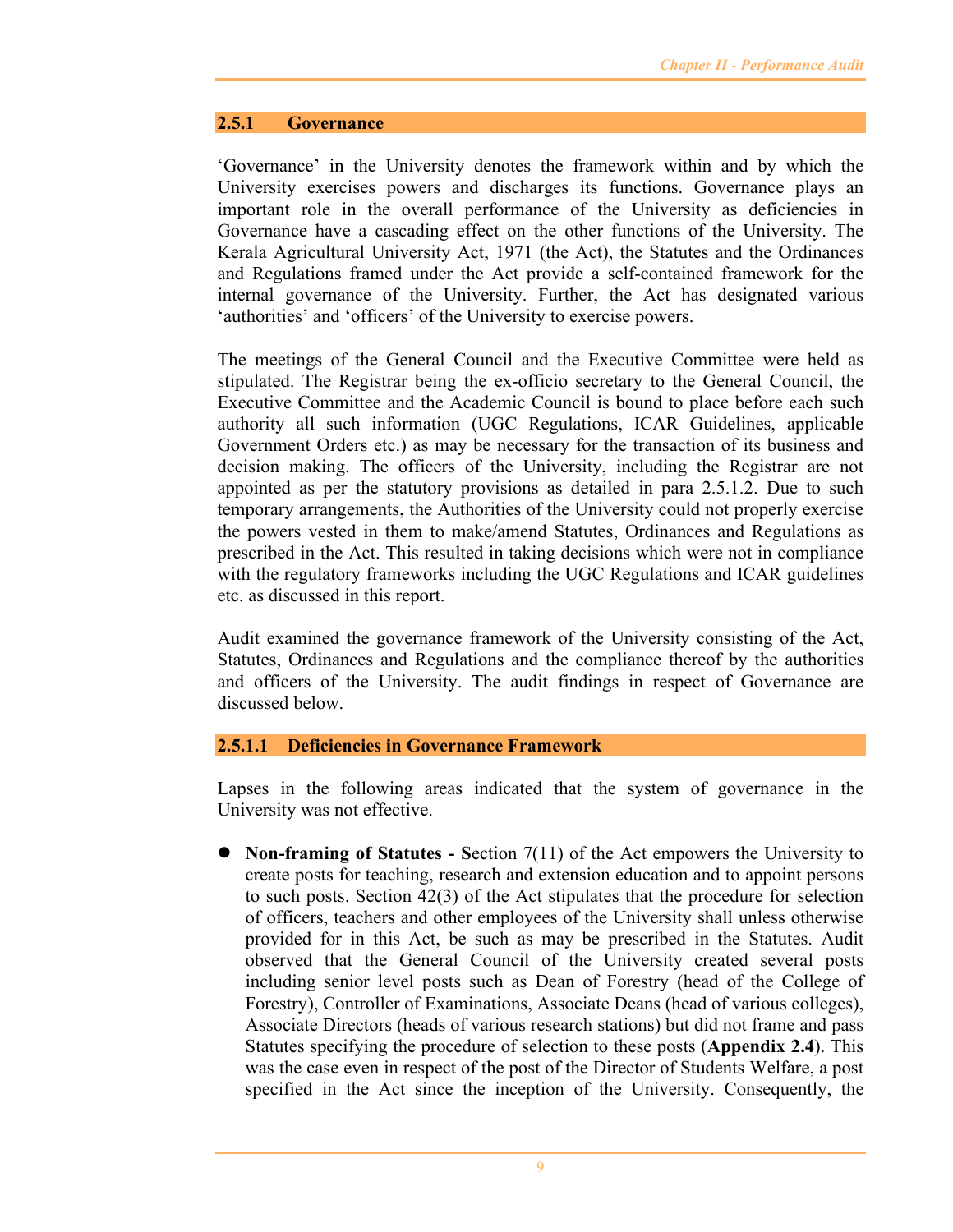#### **2.5.1 Governance**

'Governance' in the University denotes the framework within and by which the University exercises powers and discharges its functions. Governance plays an important role in the overall performance of the University as deficiencies in Governance have a cascading effect on the other functions of the University. The Kerala Agricultural University Act, 1971 (the Act), the Statutes and the Ordinances and Regulations framed under the Act provide a self-contained framework for the internal governance of the University. Further, the Act has designated various 'authorities' and 'officers' of the University to exercise powers.

The meetings of the General Council and the Executive Committee were held as stipulated. The Registrar being the ex-officio secretary to the General Council, the Executive Committee and the Academic Council is bound to place before each such authority all such information (UGC Regulations, ICAR Guidelines, applicable Government Orders etc.) as may be necessary for the transaction of its business and decision making. The officers of the University, including the Registrar are not appointed as per the statutory provisions as detailed in para 2.5.1.2. Due to such temporary arrangements, the Authorities of the University could not properly exercise the powers vested in them to make/amend Statutes, Ordinances and Regulations as prescribed in the Act. This resulted in taking decisions which were not in compliance with the regulatory frameworks including the UGC Regulations and ICAR guidelines etc. as discussed in this report.

Audit examined the governance framework of the University consisting of the Act, Statutes, Ordinances and Regulations and the compliance thereof by the authorities and officers of the University. The audit findings in respect of Governance are discussed below.

#### **2.5.1.1 Deficiencies in Governance Framework**

Lapses in the following areas indicated that the system of governance in the University was not effective.

 **Non-framing of Statutes - S**ection 7(11) of the Act empowers the University to create posts for teaching, research and extension education and to appoint persons to such posts. Section 42(3) of the Act stipulates that the procedure for selection of officers, teachers and other employees of the University shall unless otherwise provided for in this Act, be such as may be prescribed in the Statutes. Audit observed that the General Council of the University created several posts including senior level posts such as Dean of Forestry (head of the College of Forestry), Controller of Examinations, Associate Deans (head of various colleges), Associate Directors (heads of various research stations) but did not frame and pass Statutes specifying the procedure of selection to these posts (**Appendix 2.4**). This was the case even in respect of the post of the Director of Students Welfare, a post specified in the Act since the inception of the University. Consequently, the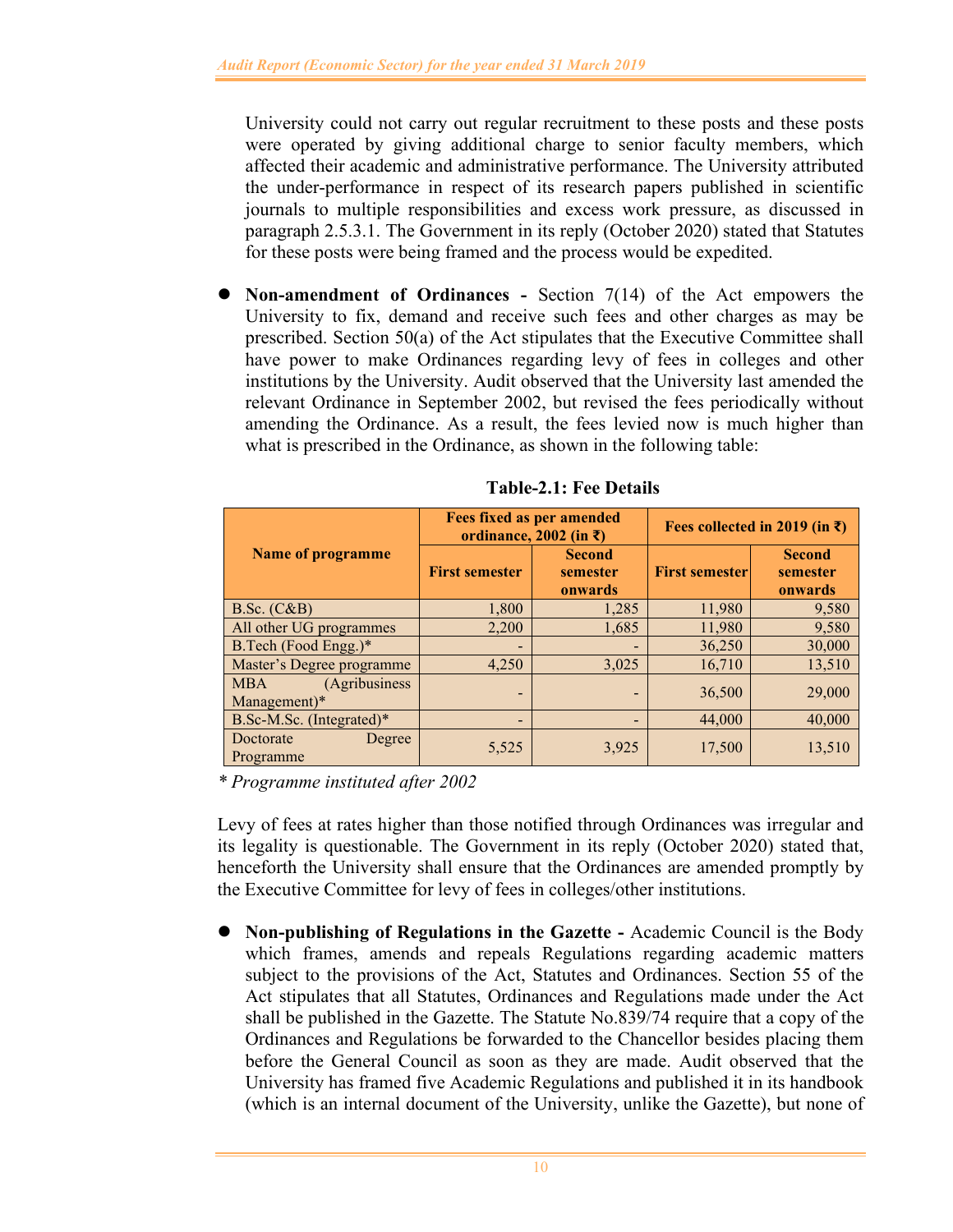University could not carry out regular recruitment to these posts and these posts were operated by giving additional charge to senior faculty members, which affected their academic and administrative performance. The University attributed the under-performance in respect of its research papers published in scientific journals to multiple responsibilities and excess work pressure, as discussed in paragraph 2.5.3.1. The Government in its reply (October 2020) stated that Statutes for these posts were being framed and the process would be expedited.

 **Non-amendment of Ordinances -** Section 7(14) of the Act empowers the University to fix, demand and receive such fees and other charges as may be prescribed. Section 50(a) of the Act stipulates that the Executive Committee shall have power to make Ordinances regarding levy of fees in colleges and other institutions by the University. Audit observed that the University last amended the relevant Ordinance in September 2002, but revised the fees periodically without amending the Ordinance. As a result, the fees levied now is much higher than what is prescribed in the Ordinance, as shown in the following table:

|                                             |                          | <b>Fees fixed as per amended</b><br>ordinance, 2002 (in ₹) | Fees collected in 2019 (in ₹) |                                      |  |
|---------------------------------------------|--------------------------|------------------------------------------------------------|-------------------------------|--------------------------------------|--|
| <b>Name of programme</b>                    | <b>First semester</b>    | <b>Second</b><br>semester<br>onwards                       | <b>First semester</b>         | <b>Second</b><br>semester<br>onwards |  |
| B.Sc. (C&B)                                 | 1,800                    | 1,285                                                      | 11,980                        | 9,580                                |  |
| All other UG programmes                     | 2,200                    | 1,685                                                      | 11,980                        | 9,580                                |  |
| B.Tech (Food Engg.)*                        | $\overline{\phantom{0}}$ | -                                                          | 36,250                        | 30,000                               |  |
| Master's Degree programme                   | 4,250                    | 3,025                                                      | 16,710                        | 13,510                               |  |
| (Agribusiness<br><b>MBA</b><br>Management)* |                          |                                                            | 36,500                        | 29,000                               |  |
| B.Sc-M.Sc. (Integrated)*                    | $\overline{\phantom{0}}$ |                                                            | 44,000                        | 40,000                               |  |
| Doctorate<br>Degree<br>Programme            | 5,525                    | 3,925                                                      | 17,500                        | 13,510                               |  |

**Table-2.1: Fee Details** 

*\* Programme instituted after 2002* 

Levy of fees at rates higher than those notified through Ordinances was irregular and its legality is questionable. The Government in its reply (October 2020) stated that, henceforth the University shall ensure that the Ordinances are amended promptly by the Executive Committee for levy of fees in colleges/other institutions.

 **Non-publishing of Regulations in the Gazette -** Academic Council is the Body which frames, amends and repeals Regulations regarding academic matters subject to the provisions of the Act, Statutes and Ordinances. Section 55 of the Act stipulates that all Statutes, Ordinances and Regulations made under the Act shall be published in the Gazette. The Statute No.839/74 require that a copy of the Ordinances and Regulations be forwarded to the Chancellor besides placing them before the General Council as soon as they are made. Audit observed that the University has framed five Academic Regulations and published it in its handbook (which is an internal document of the University, unlike the Gazette), but none of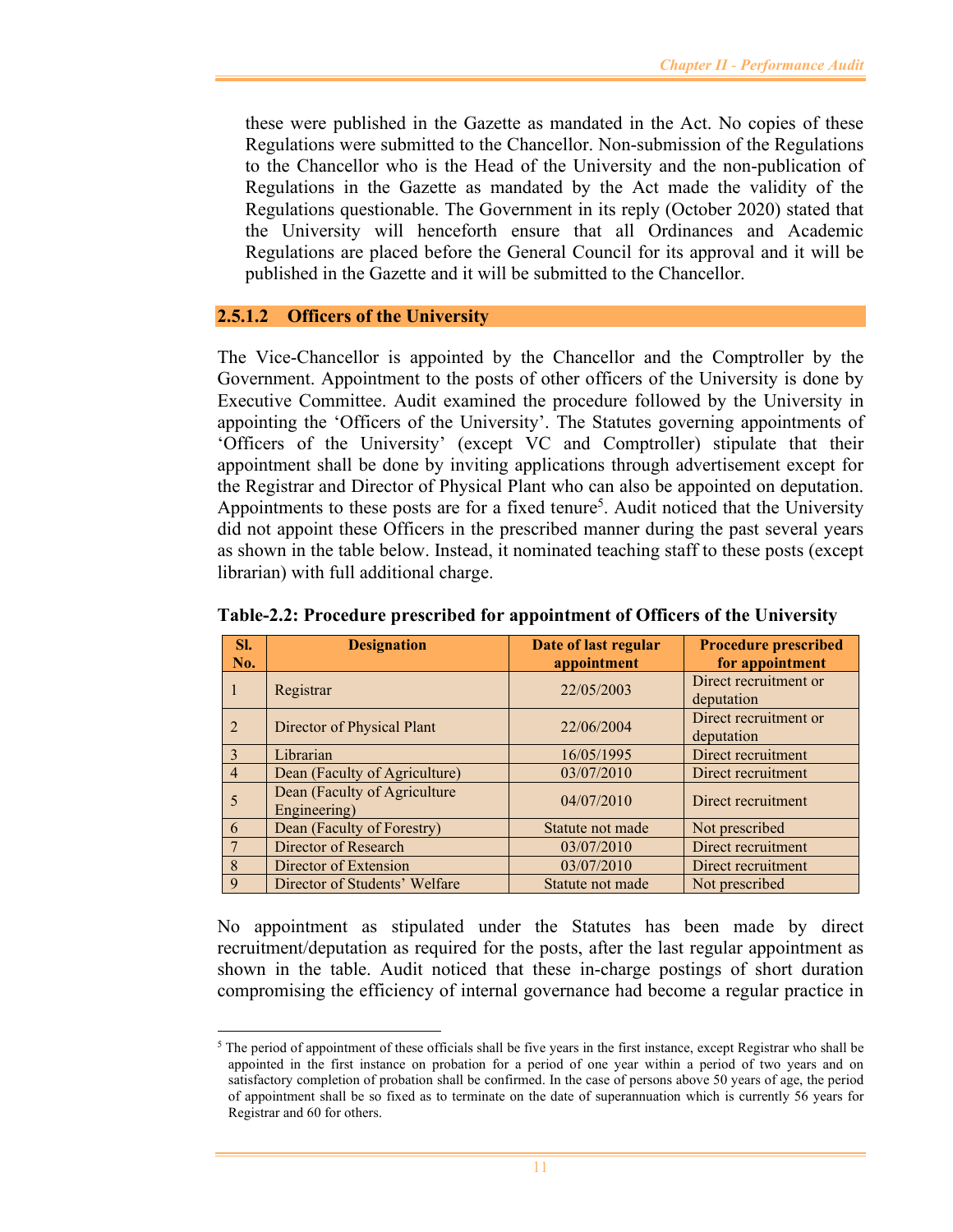these were published in the Gazette as mandated in the Act. No copies of these Regulations were submitted to the Chancellor. Non-submission of the Regulations to the Chancellor who is the Head of the University and the non-publication of Regulations in the Gazette as mandated by the Act made the validity of the Regulations questionable. The Government in its reply (October 2020) stated that the University will henceforth ensure that all Ordinances and Academic Regulations are placed before the General Council for its approval and it will be published in the Gazette and it will be submitted to the Chancellor.

### **2.5.1.2 Officers of the University**

The Vice-Chancellor is appointed by the Chancellor and the Comptroller by the Government. Appointment to the posts of other officers of the University is done by Executive Committee. Audit examined the procedure followed by the University in appointing the 'Officers of the University'. The Statutes governing appointments of 'Officers of the University' (except VC and Comptroller) stipulate that their appointment shall be done by inviting applications through advertisement except for the Registrar and Director of Physical Plant who can also be appointed on deputation. Appointments to these posts are for a fixed tenure<sup>5</sup>. Audit noticed that the University did not appoint these Officers in the prescribed manner during the past several years as shown in the table below. Instead, it nominated teaching staff to these posts (except librarian) with full additional charge.

| SI.<br>No.     | <b>Designation</b>                           | Date of last regular<br>appointment | <b>Procedure prescribed</b><br>for appointment |
|----------------|----------------------------------------------|-------------------------------------|------------------------------------------------|
|                | Registrar                                    | 22/05/2003                          | Direct recruitment or<br>deputation            |
| 2              | Director of Physical Plant                   | 22/06/2004                          | Direct recruitment or<br>deputation            |
| $\mathcal{R}$  | Librarian                                    | 16/05/1995                          | Direct recruitment                             |
| $\overline{4}$ | Dean (Faculty of Agriculture)                | 03/07/2010                          | Direct recruitment                             |
|                | Dean (Faculty of Agriculture<br>Engineering) | 04/07/2010                          | Direct recruitment                             |
| 6              | Dean (Faculty of Forestry)                   | Statute not made                    | Not prescribed                                 |
|                | Director of Research                         | 03/07/2010                          | Direct recruitment                             |
| 8              | Director of Extension                        | 03/07/2010                          | Direct recruitment                             |
| 9              | Director of Students' Welfare                | Statute not made                    | Not prescribed                                 |

**Table-2.2: Procedure prescribed for appointment of Officers of the University** 

No appointment as stipulated under the Statutes has been made by direct recruitment/deputation as required for the posts, after the last regular appointment as shown in the table. Audit noticed that these in-charge postings of short duration compromising the efficiency of internal governance had become a regular practice in

 $5$  The period of appointment of these officials shall be five years in the first instance, except Registrar who shall be appointed in the first instance on probation for a period of one year within a period of two years and on satisfactory completion of probation shall be confirmed. In the case of persons above 50 years of age, the period of appointment shall be so fixed as to terminate on the date of superannuation which is currently 56 years for Registrar and 60 for others.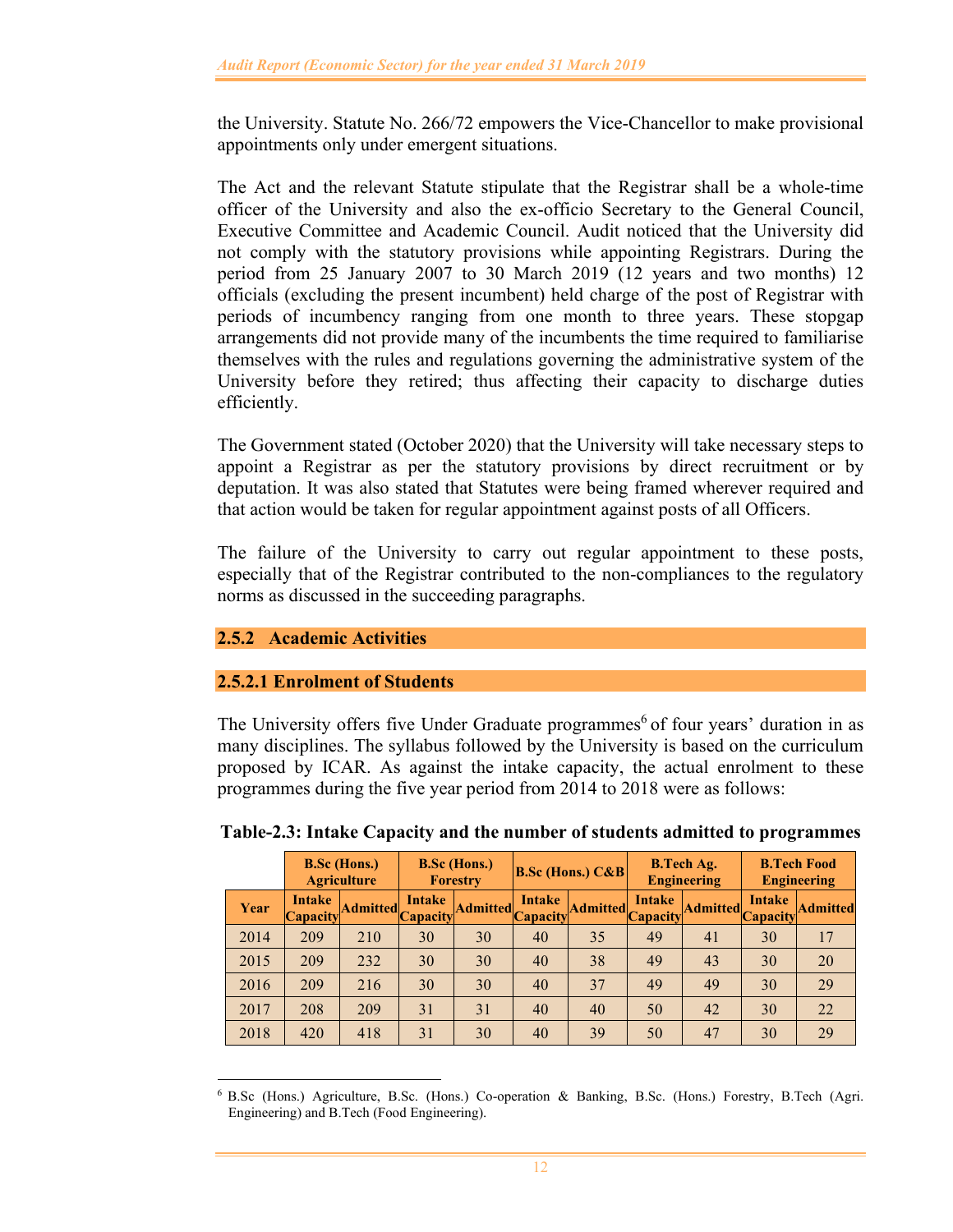the University. Statute No. 266/72 empowers the Vice-Chancellor to make provisional appointments only under emergent situations.

The Act and the relevant Statute stipulate that the Registrar shall be a whole-time officer of the University and also the ex-officio Secretary to the General Council, Executive Committee and Academic Council. Audit noticed that the University did not comply with the statutory provisions while appointing Registrars. During the period from 25 January 2007 to 30 March 2019 (12 years and two months) 12 officials (excluding the present incumbent) held charge of the post of Registrar with periods of incumbency ranging from one month to three years. These stopgap arrangements did not provide many of the incumbents the time required to familiarise themselves with the rules and regulations governing the administrative system of the University before they retired; thus affecting their capacity to discharge duties efficiently.

The Government stated (October 2020) that the University will take necessary steps to appoint a Registrar as per the statutory provisions by direct recruitment or by deputation. It was also stated that Statutes were being framed wherever required and that action would be taken for regular appointment against posts of all Officers.

The failure of the University to carry out regular appointment to these posts, especially that of the Registrar contributed to the non-compliances to the regulatory norms as discussed in the succeeding paragraphs.

# **2.5.2 Academic Activities**

## **2.5.2.1 Enrolment of Students**

The University offers five Under Graduate programmes<sup>6</sup> of four years' duration in as many disciplines. The syllabus followed by the University is based on the curriculum proposed by ICAR. As against the intake capacity, the actual enrolment to these programmes during the five year period from 2014 to 2018 were as follows:

|      |                    | <b>B.Sc (Hons.)</b><br><b>Agriculture</b> |        | <b>B.Sc (Hons.)</b><br><b>Forestry</b> | <b>B.Sc (Hons.)</b> $C\&B$ |           | <b>B.Tech Ag.</b><br>Engineering |                 | <b>B.Tech Food</b><br><b>Engineering</b> |                 |
|------|--------------------|-------------------------------------------|--------|----------------------------------------|----------------------------|-----------|----------------------------------|-----------------|------------------------------------------|-----------------|
| Year | Intake<br>Capacity | Admitted Capacity                         | Intake | <b>Admitted</b>                        | <b>Intake</b><br>Capacity  | Admitted. | Intake<br><b>Capacity</b>        | <b>Admitted</b> | <b>Intake</b><br><b>Capacity</b>         | <b>Admitted</b> |
| 2014 | 209                | 210                                       | 30     | 30                                     | 40                         | 35        | 49                               | 41              | 30                                       | 17              |
| 2015 | 209                | 232                                       | 30     | 30                                     | 40                         | 38        | 49                               | 43              | 30                                       | 20              |
| 2016 | 209                | 216                                       | 30     | 30                                     | 40                         | 37        | 49                               | 49              | 30                                       | 29              |
| 2017 | 208                | 209                                       | 31     | 31                                     | 40                         | 40        | 50                               | 42              | 30                                       | 22              |
| 2018 | 420                | 418                                       | 31     | 30                                     | 40                         | 39        | 50                               | 47              | 30                                       | 29              |

**Table-2.3: Intake Capacity and the number of students admitted to programmes** 

<sup>6</sup> B.Sc (Hons.) Agriculture, B.Sc. (Hons.) Co-operation & Banking, B.Sc. (Hons.) Forestry, B.Tech (Agri. Engineering) and B.Tech (Food Engineering).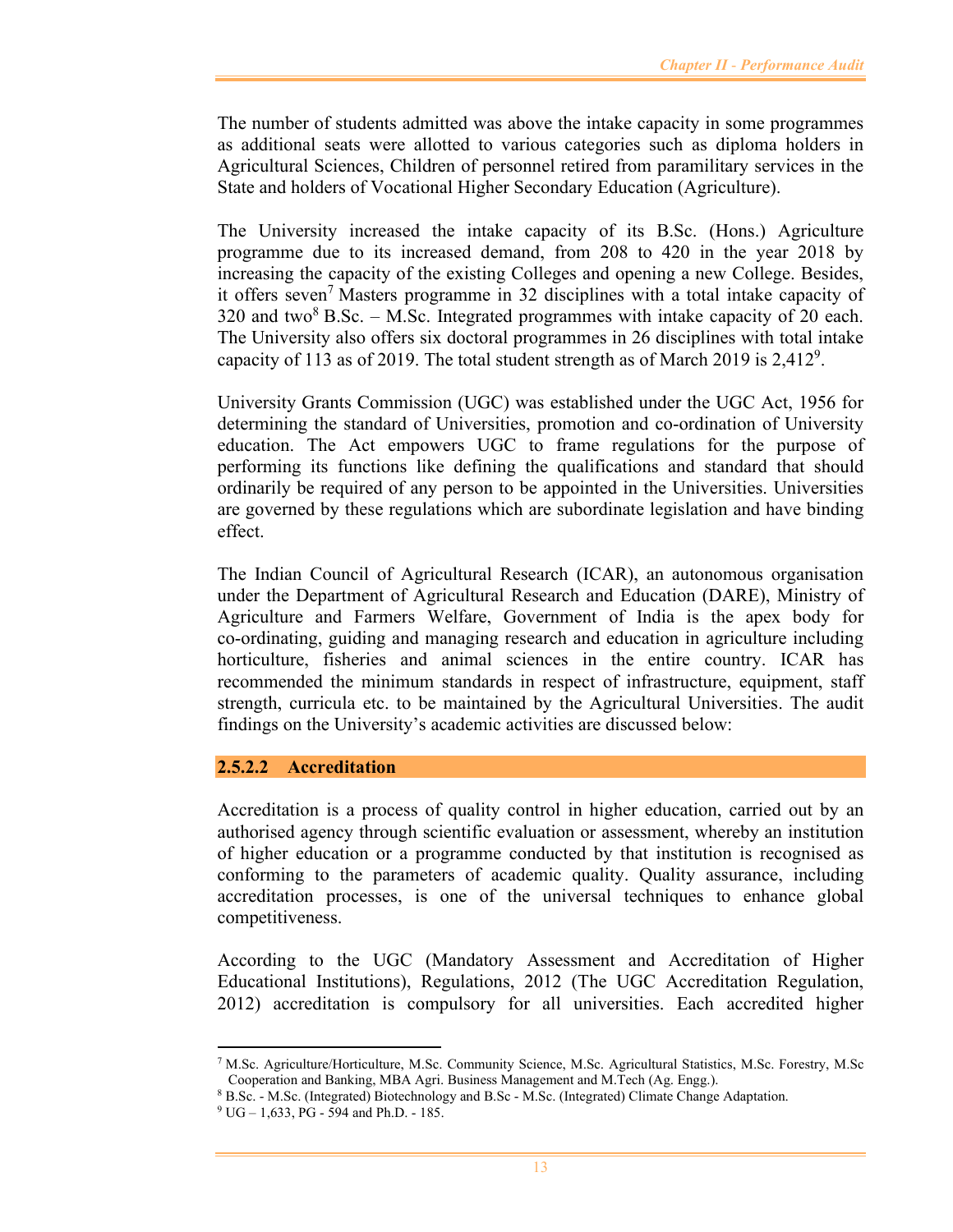The number of students admitted was above the intake capacity in some programmes as additional seats were allotted to various categories such as diploma holders in Agricultural Sciences, Children of personnel retired from paramilitary services in the State and holders of Vocational Higher Secondary Education (Agriculture).

The University increased the intake capacity of its B.Sc. (Hons.) Agriculture programme due to its increased demand, from 208 to 420 in the year 2018 by increasing the capacity of the existing Colleges and opening a new College. Besides, it offers seven<sup>7</sup> Masters programme in 32 disciplines with a total intake capacity of 320 and two<sup>8</sup> B.Sc. – M.Sc. Integrated programmes with intake capacity of 20 each. The University also offers six doctoral programmes in 26 disciplines with total intake capacity of 113 as of 2019. The total student strength as of March 2019 is  $2,412^9$ .

University Grants Commission (UGC) was established under the UGC Act, 1956 for determining the standard of Universities, promotion and co-ordination of University education. The Act empowers UGC to frame regulations for the purpose of performing its functions like defining the qualifications and standard that should ordinarily be required of any person to be appointed in the Universities. Universities are governed by these regulations which are subordinate legislation and have binding effect.

The Indian Council of Agricultural Research (ICAR), an autonomous organisation under the Department of Agricultural Research and Education (DARE), Ministry of Agriculture and Farmers Welfare, Government of India is the apex body for co-ordinating, guiding and managing research and education in agriculture including horticulture, fisheries and animal sciences in the entire country. ICAR has recommended the minimum standards in respect of infrastructure, equipment, staff strength, curricula etc. to be maintained by the Agricultural Universities. The audit findings on the University's academic activities are discussed below:

#### **2.5.2.2 Accreditation**

Accreditation is a process of quality control in higher education, carried out by an authorised agency through scientific evaluation or assessment, whereby an institution of higher education or a programme conducted by that institution is recognised as conforming to the parameters of academic quality. Quality assurance, including accreditation processes, is one of the universal techniques to enhance global competitiveness.

According to the UGC (Mandatory Assessment and Accreditation of Higher Educational Institutions), Regulations, 2012 (The UGC Accreditation Regulation, 2012) accreditation is compulsory for all universities. Each accredited higher

<sup>7</sup> M.Sc. Agriculture/Horticulture, M.Sc. Community Science, M.Sc. Agricultural Statistics, M.Sc. Forestry, M.Sc Cooperation and Banking, MBA Agri. Business Management and M.Tech (Ag. Engg.).

<sup>8</sup> B.Sc. - M.Sc. (Integrated) Biotechnology and B.Sc - M.Sc. (Integrated) Climate Change Adaptation.

<sup>9</sup> UG – 1,633, PG - 594 and Ph.D. - 185.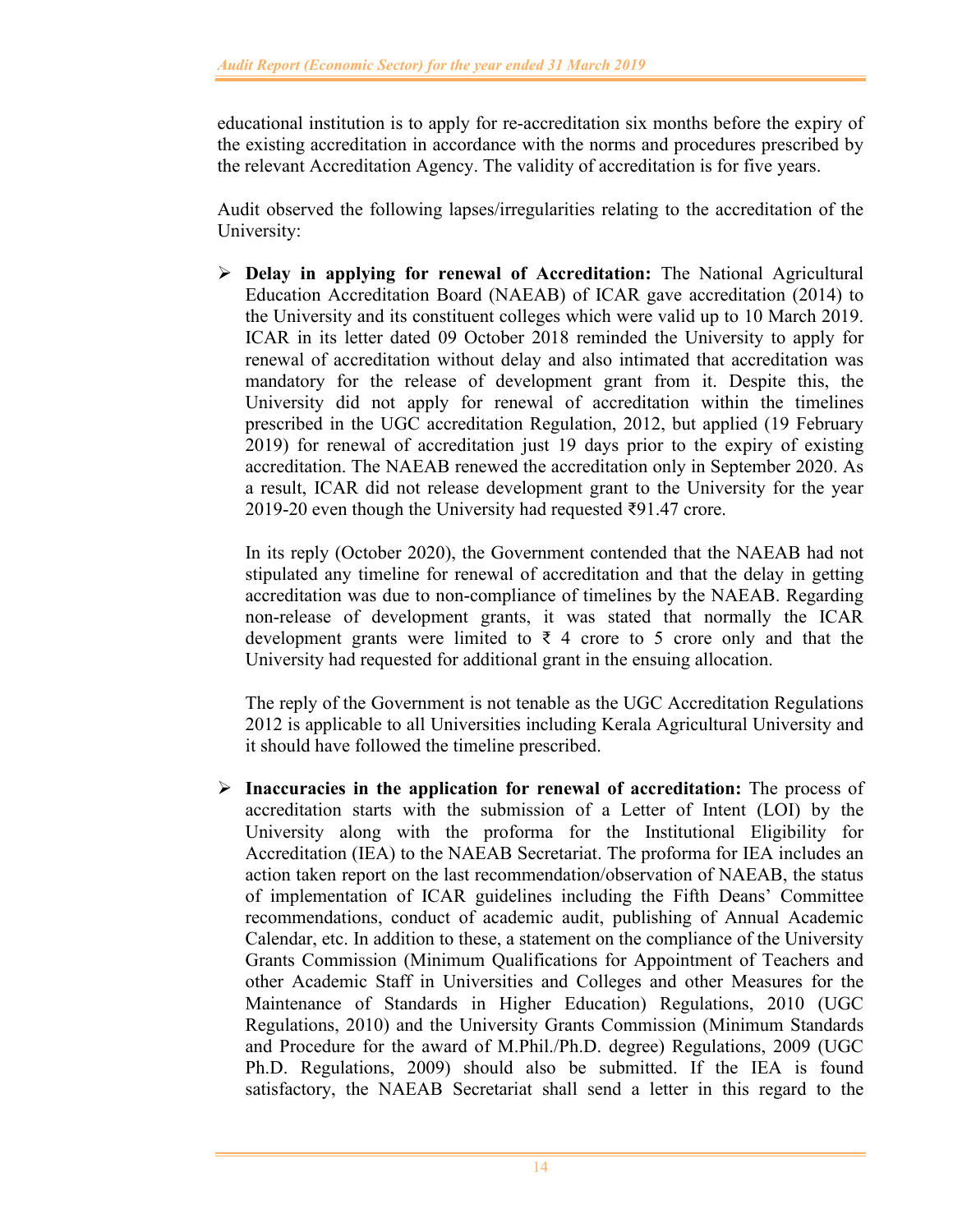educational institution is to apply for re-accreditation six months before the expiry of the existing accreditation in accordance with the norms and procedures prescribed by the relevant Accreditation Agency. The validity of accreditation is for five years.

Audit observed the following lapses/irregularities relating to the accreditation of the University:

 **Delay in applying for renewal of Accreditation:** The National Agricultural Education Accreditation Board (NAEAB) of ICAR gave accreditation (2014) to the University and its constituent colleges which were valid up to 10 March 2019. ICAR in its letter dated 09 October 2018 reminded the University to apply for renewal of accreditation without delay and also intimated that accreditation was mandatory for the release of development grant from it. Despite this, the University did not apply for renewal of accreditation within the timelines prescribed in the UGC accreditation Regulation, 2012, but applied (19 February 2019) for renewal of accreditation just 19 days prior to the expiry of existing accreditation. The NAEAB renewed the accreditation only in September 2020. As a result, ICAR did not release development grant to the University for the year 2019-20 even though the University had requested ₹91.47 crore.

In its reply (October 2020), the Government contended that the NAEAB had not stipulated any timeline for renewal of accreditation and that the delay in getting accreditation was due to non-compliance of timelines by the NAEAB. Regarding non-release of development grants, it was stated that normally the ICAR development grants were limited to  $\bar{\tau}$  4 crore to 5 crore only and that the University had requested for additional grant in the ensuing allocation.

The reply of the Government is not tenable as the UGC Accreditation Regulations 2012 is applicable to all Universities including Kerala Agricultural University and it should have followed the timeline prescribed.

 **Inaccuracies in the application for renewal of accreditation:** The process of accreditation starts with the submission of a Letter of Intent (LOI) by the University along with the proforma for the Institutional Eligibility for Accreditation (IEA) to the NAEAB Secretariat. The proforma for IEA includes an action taken report on the last recommendation/observation of NAEAB, the status of implementation of ICAR guidelines including the Fifth Deans' Committee recommendations, conduct of academic audit, publishing of Annual Academic Calendar, etc. In addition to these, a statement on the compliance of the University Grants Commission (Minimum Qualifications for Appointment of Teachers and other Academic Staff in Universities and Colleges and other Measures for the Maintenance of Standards in Higher Education) Regulations, 2010 (UGC Regulations, 2010) and the University Grants Commission (Minimum Standards and Procedure for the award of M.Phil./Ph.D. degree) Regulations, 2009 (UGC Ph.D. Regulations, 2009) should also be submitted. If the IEA is found satisfactory, the NAEAB Secretariat shall send a letter in this regard to the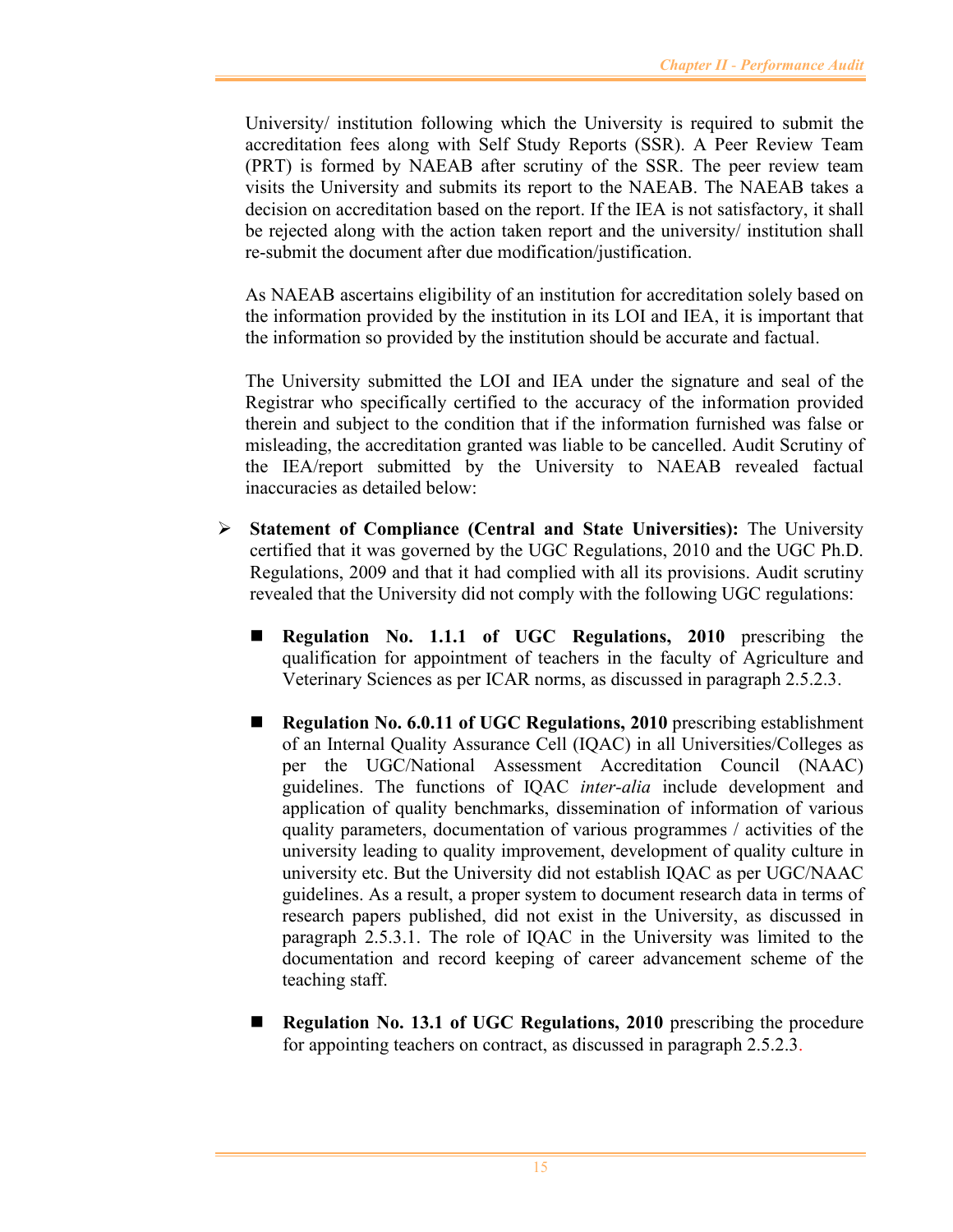University/ institution following which the University is required to submit the accreditation fees along with Self Study Reports (SSR). A Peer Review Team (PRT) is formed by NAEAB after scrutiny of the SSR. The peer review team visits the University and submits its report to the NAEAB. The NAEAB takes a decision on accreditation based on the report. If the IEA is not satisfactory, it shall be rejected along with the action taken report and the university/ institution shall re-submit the document after due modification/justification.

As NAEAB ascertains eligibility of an institution for accreditation solely based on the information provided by the institution in its LOI and IEA, it is important that the information so provided by the institution should be accurate and factual.

The University submitted the LOI and IEA under the signature and seal of the Registrar who specifically certified to the accuracy of the information provided therein and subject to the condition that if the information furnished was false or misleading, the accreditation granted was liable to be cancelled. Audit Scrutiny of the IEA/report submitted by the University to NAEAB revealed factual inaccuracies as detailed below:

- **Statement of Compliance (Central and State Universities):** The University certified that it was governed by the UGC Regulations, 2010 and the UGC Ph.D. Regulations, 2009 and that it had complied with all its provisions. Audit scrutiny revealed that the University did not comply with the following UGC regulations:
	- **Regulation No. 1.1.1 of UGC Regulations, 2010** prescribing the qualification for appointment of teachers in the faculty of Agriculture and Veterinary Sciences as per ICAR norms, as discussed in paragraph 2.5.2.3.
	- **Regulation No. 6.0.11 of UGC Regulations, 2010** prescribing establishment of an Internal Quality Assurance Cell (IQAC) in all Universities/Colleges as per the UGC/National Assessment Accreditation Council (NAAC) guidelines. The functions of IQAC *inter-alia* include development and application of quality benchmarks, dissemination of information of various quality parameters, documentation of various programmes / activities of the university leading to quality improvement, development of quality culture in university etc. But the University did not establish IQAC as per UGC/NAAC guidelines. As a result, a proper system to document research data in terms of research papers published, did not exist in the University, as discussed in paragraph 2.5.3.1. The role of IQAC in the University was limited to the documentation and record keeping of career advancement scheme of the teaching staff.
	- **Regulation No. 13.1 of UGC Regulations, 2010** prescribing the procedure for appointing teachers on contract, as discussed in paragraph 2.5.2.3.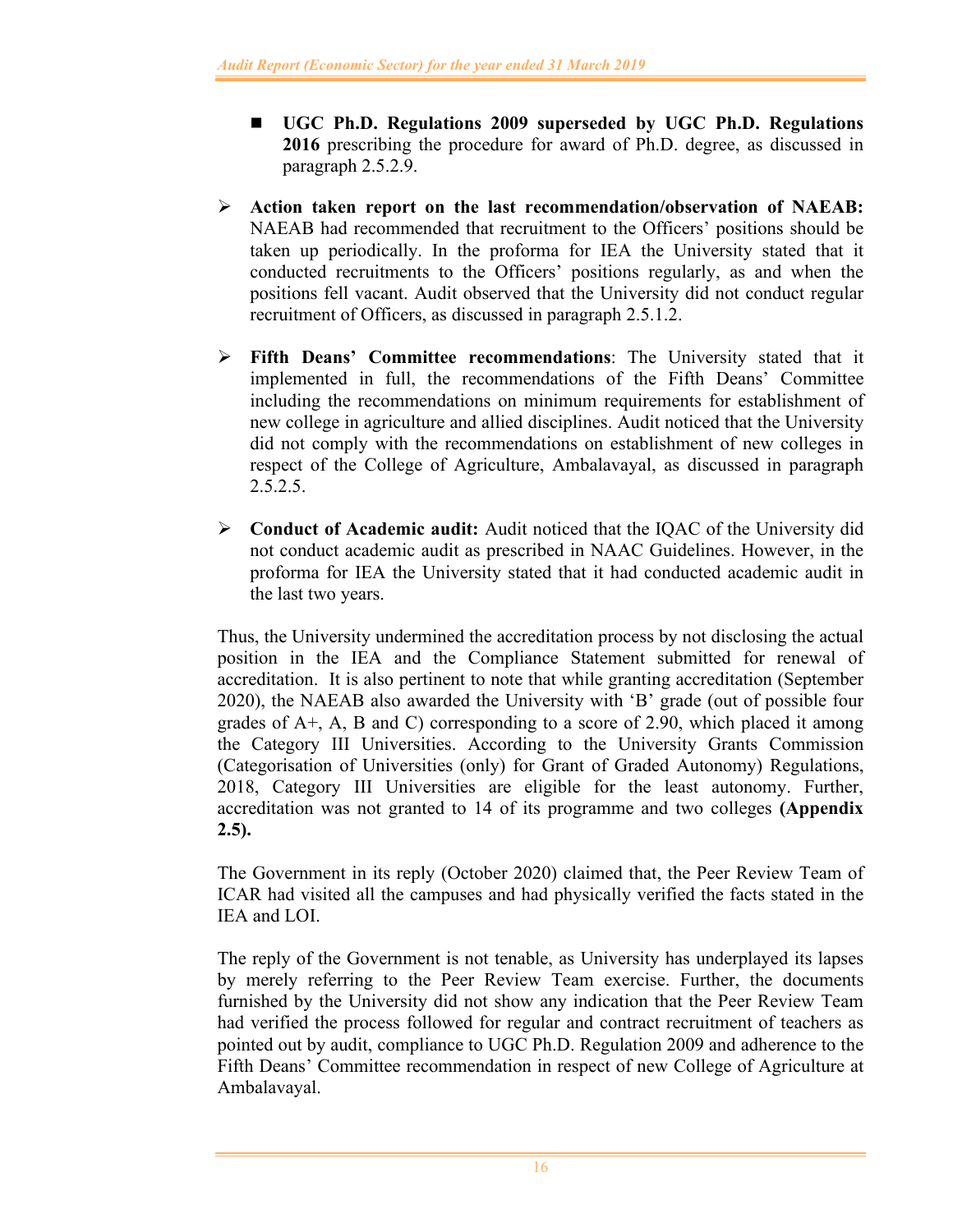- **UGC Ph.D. Regulations 2009 superseded by UGC Ph.D. Regulations 2016** prescribing the procedure for award of Ph.D. degree, as discussed in paragraph 2.5.2.9.
- **Action taken report on the last recommendation/observation of NAEAB:**  NAEAB had recommended that recruitment to the Officers' positions should be taken up periodically. In the proforma for IEA the University stated that it conducted recruitments to the Officers' positions regularly, as and when the positions fell vacant. Audit observed that the University did not conduct regular recruitment of Officers, as discussed in paragraph 2.5.1.2.
- **Fifth Deans' Committee recommendations**: The University stated that it implemented in full, the recommendations of the Fifth Deans' Committee including the recommendations on minimum requirements for establishment of new college in agriculture and allied disciplines. Audit noticed that the University did not comply with the recommendations on establishment of new colleges in respect of the College of Agriculture, Ambalavayal, as discussed in paragraph 2.5.2.5.
- **Conduct of Academic audit:** Audit noticed that the IQAC of the University did not conduct academic audit as prescribed in NAAC Guidelines. However, in the proforma for IEA the University stated that it had conducted academic audit in the last two years.

Thus, the University undermined the accreditation process by not disclosing the actual position in the IEA and the Compliance Statement submitted for renewal of accreditation. It is also pertinent to note that while granting accreditation (September 2020), the NAEAB also awarded the University with 'B' grade (out of possible four grades of A+, A, B and C) corresponding to a score of 2.90, which placed it among the Category III Universities. According to the University Grants Commission (Categorisation of Universities (only) for Grant of Graded Autonomy) Regulations, 2018, Category III Universities are eligible for the least autonomy. Further, accreditation was not granted to 14 of its programme and two colleges **(Appendix 2.5).**

The Government in its reply (October 2020) claimed that, the Peer Review Team of ICAR had visited all the campuses and had physically verified the facts stated in the IEA and LOI.

The reply of the Government is not tenable, as University has underplayed its lapses by merely referring to the Peer Review Team exercise. Further, the documents furnished by the University did not show any indication that the Peer Review Team had verified the process followed for regular and contract recruitment of teachers as pointed out by audit, compliance to UGC Ph.D. Regulation 2009 and adherence to the Fifth Deans' Committee recommendation in respect of new College of Agriculture at Ambalavayal.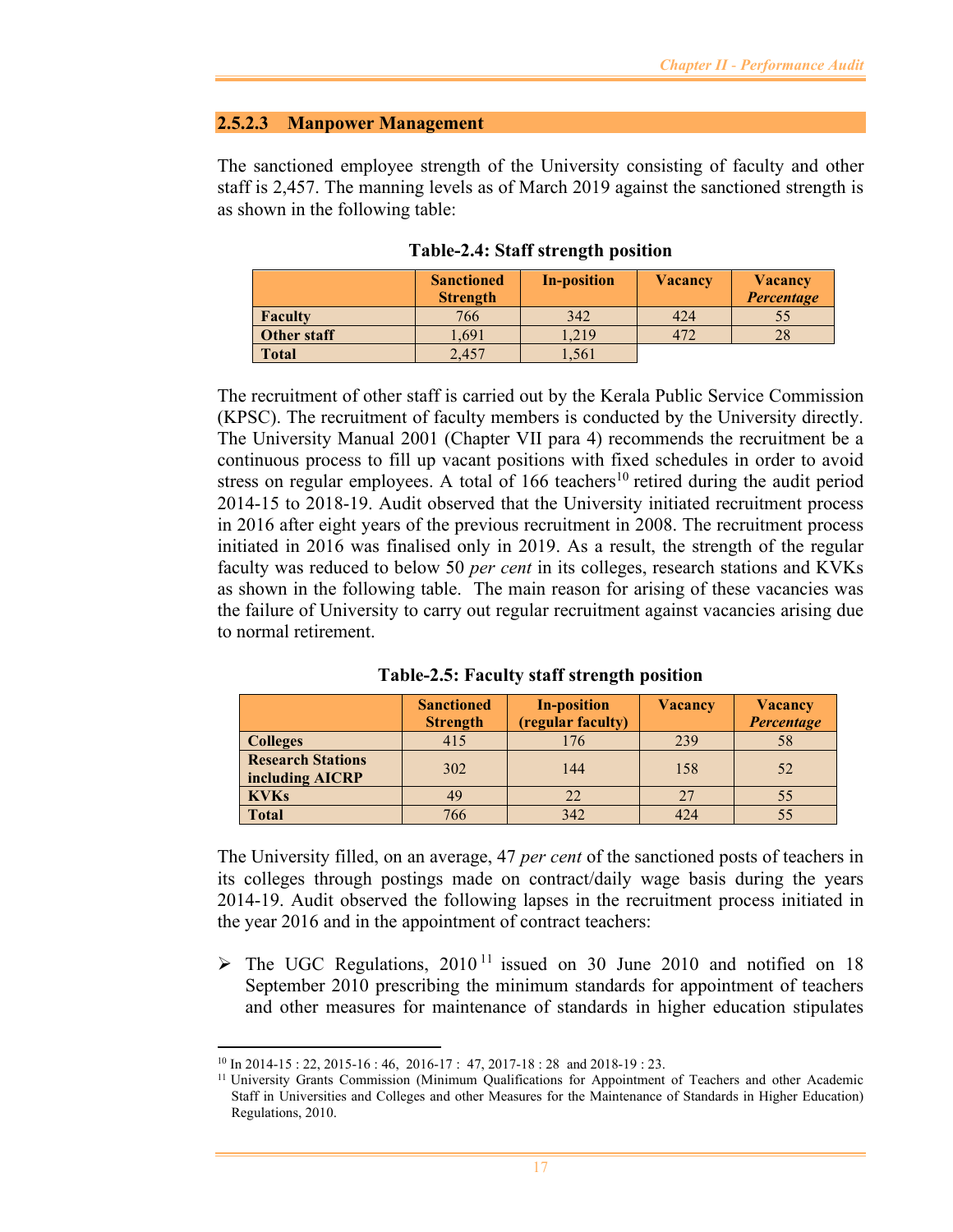#### **2.5.2.3 Manpower Management**

The sanctioned employee strength of the University consisting of faculty and other staff is 2,457. The manning levels as of March 2019 against the sanctioned strength is as shown in the following table:

|                | <b>Sanctioned</b><br><b>Strength</b> | <b>In-position</b> | <b>Vacancy</b> | <b>Vacancy</b><br>Percentage |
|----------------|--------------------------------------|--------------------|----------------|------------------------------|
| <b>Faculty</b> | 766                                  | 342                | 424            | 55                           |
| Other staff    | 1,691                                | 1,219              | 472            | 28                           |
| <b>Total</b>   | 2,457                                | 1,561              |                |                              |

**Table-2.4: Staff strength position** 

The recruitment of other staff is carried out by the Kerala Public Service Commission (KPSC). The recruitment of faculty members is conducted by the University directly. The University Manual 2001 (Chapter VII para 4) recommends the recruitment be a continuous process to fill up vacant positions with fixed schedules in order to avoid stress on regular employees. A total of 166 teachers<sup>10</sup> retired during the audit period 2014-15 to 2018-19. Audit observed that the University initiated recruitment process in 2016 after eight years of the previous recruitment in 2008. The recruitment process initiated in 2016 was finalised only in 2019. As a result, the strength of the regular faculty was reduced to below 50 *per cent* in its colleges, research stations and KVKs as shown in the following table. The main reason for arising of these vacancies was the failure of University to carry out regular recruitment against vacancies arising due to normal retirement.

**Table-2.5: Faculty staff strength position** 

|                                             | <b>Sanctioned</b><br><b>Strength</b> | <b>In-position</b><br>(regular faculty) | <b>Vacancy</b> | <b>Vacancy</b><br>Percentage |
|---------------------------------------------|--------------------------------------|-----------------------------------------|----------------|------------------------------|
| <b>Colleges</b>                             | 415                                  | 176                                     | 239            | 58                           |
| <b>Research Stations</b><br>including AICRP | 302                                  | 144                                     | 158            | 52                           |
| <b>KVKs</b>                                 | 49                                   | 22                                      | 27             | 55                           |
| <b>Total</b>                                | 766                                  | 342                                     | 424            | 55                           |

The University filled, on an average, 47 *per cent* of the sanctioned posts of teachers in its colleges through postings made on contract/daily wage basis during the years 2014-19. Audit observed the following lapses in the recruitment process initiated in the year 2016 and in the appointment of contract teachers:

 $\triangleright$  The UGC Regulations, 2010<sup>11</sup> issued on 30 June 2010 and notified on 18 September 2010 prescribing the minimum standards for appointment of teachers and other measures for maintenance of standards in higher education stipulates

<sup>&</sup>lt;sup>10</sup> In 2014-15 : 22, 2015-16 : 46, 2016-17 : 47, 2017-18 : 28 and 2018-19 : 23.

<sup>11</sup> University Grants Commission (Minimum Qualifications for Appointment of Teachers and other Academic Staff in Universities and Colleges and other Measures for the Maintenance of Standards in Higher Education) Regulations, 2010.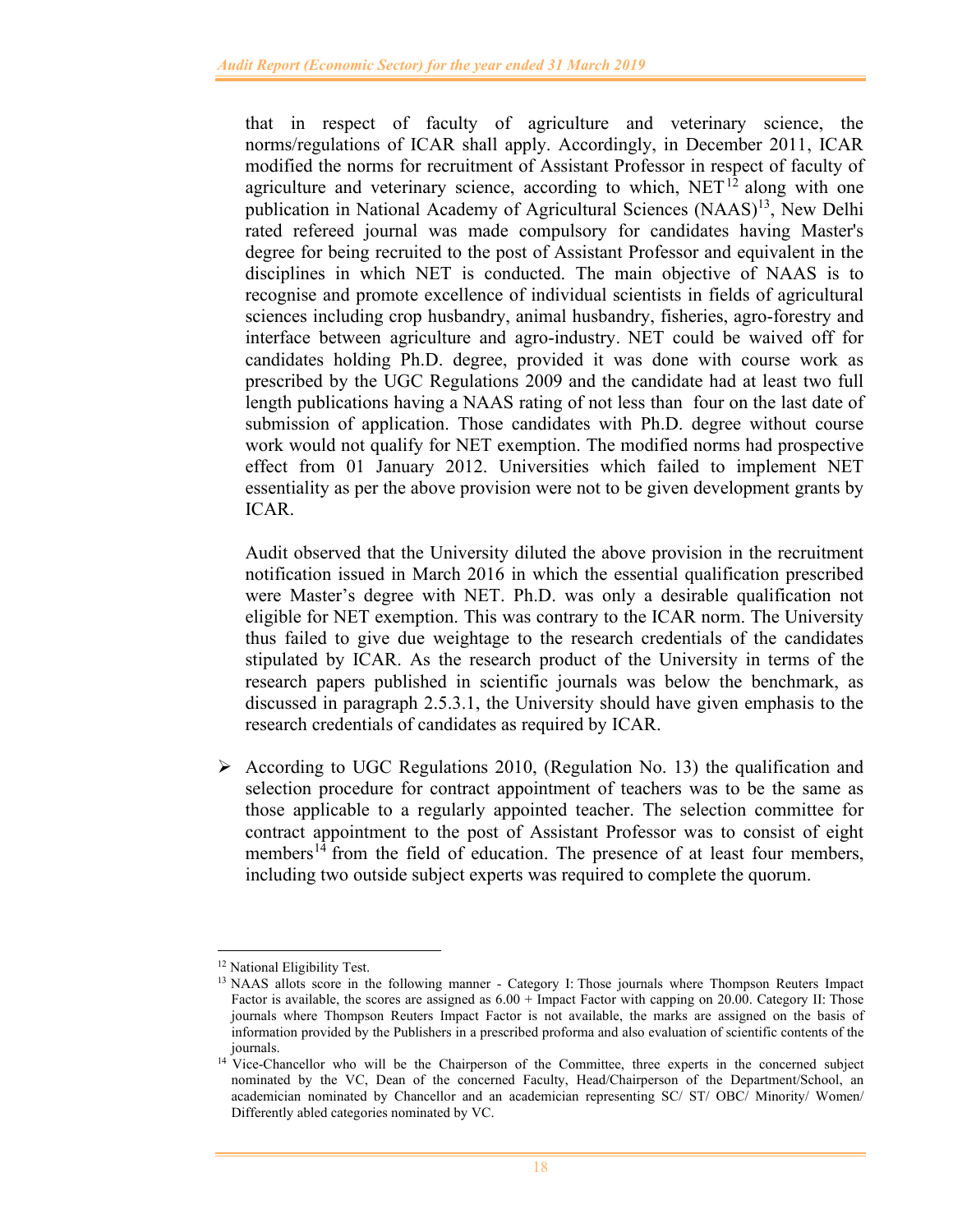that in respect of faculty of agriculture and veterinary science, the norms/regulations of ICAR shall apply. Accordingly, in December 2011, ICAR modified the norms for recruitment of Assistant Professor in respect of faculty of agriculture and veterinary science, according to which,  $NET<sup>12</sup>$  along with one publication in National Academy of Agricultural Sciences (NAAS)<sup>13</sup>, New Delhi rated refereed journal was made compulsory for candidates having Master's degree for being recruited to the post of Assistant Professor and equivalent in the disciplines in which NET is conducted. The main objective of NAAS is to recognise and promote excellence of individual scientists in fields of agricultural sciences including crop husbandry, animal husbandry, fisheries, agro-forestry and interface between agriculture and agro-industry. NET could be waived off for candidates holding Ph.D. degree, provided it was done with course work as prescribed by the UGC Regulations 2009 and the candidate had at least two full length publications having a NAAS rating of not less than four on the last date of submission of application. Those candidates with Ph.D. degree without course work would not qualify for NET exemption. The modified norms had prospective effect from 01 January 2012. Universities which failed to implement NET essentiality as per the above provision were not to be given development grants by ICAR.

Audit observed that the University diluted the above provision in the recruitment notification issued in March 2016 in which the essential qualification prescribed were Master's degree with NET. Ph.D. was only a desirable qualification not eligible for NET exemption. This was contrary to the ICAR norm. The University thus failed to give due weightage to the research credentials of the candidates stipulated by ICAR. As the research product of the University in terms of the research papers published in scientific journals was below the benchmark, as discussed in paragraph 2.5.3.1, the University should have given emphasis to the research credentials of candidates as required by ICAR.

 $\triangleright$  According to UGC Regulations 2010, (Regulation No. 13) the qualification and selection procedure for contract appointment of teachers was to be the same as those applicable to a regularly appointed teacher. The selection committee for contract appointment to the post of Assistant Professor was to consist of eight members<sup>14</sup> from the field of education. The presence of at least four members, including two outside subject experts was required to complete the quorum.

<sup>&</sup>lt;sup>12</sup> National Eligibility Test.

<sup>&</sup>lt;sup>13</sup> NAAS allots score in the following manner - Category I: Those journals where Thompson Reuters Impact Factor is available, the scores are assigned as 6.00 + Impact Factor with capping on 20.00. Category II: Those journals where Thompson Reuters Impact Factor is not available, the marks are assigned on the basis of information provided by the Publishers in a prescribed proforma and also evaluation of scientific contents of the journals.

<sup>&</sup>lt;sup>14</sup> Vice-Chancellor who will be the Chairperson of the Committee, three experts in the concerned subject nominated by the VC, Dean of the concerned Faculty, Head/Chairperson of the Department/School, an academician nominated by Chancellor and an academician representing SC/ ST/ OBC/ Minority/ Women/ Differently abled categories nominated by VC.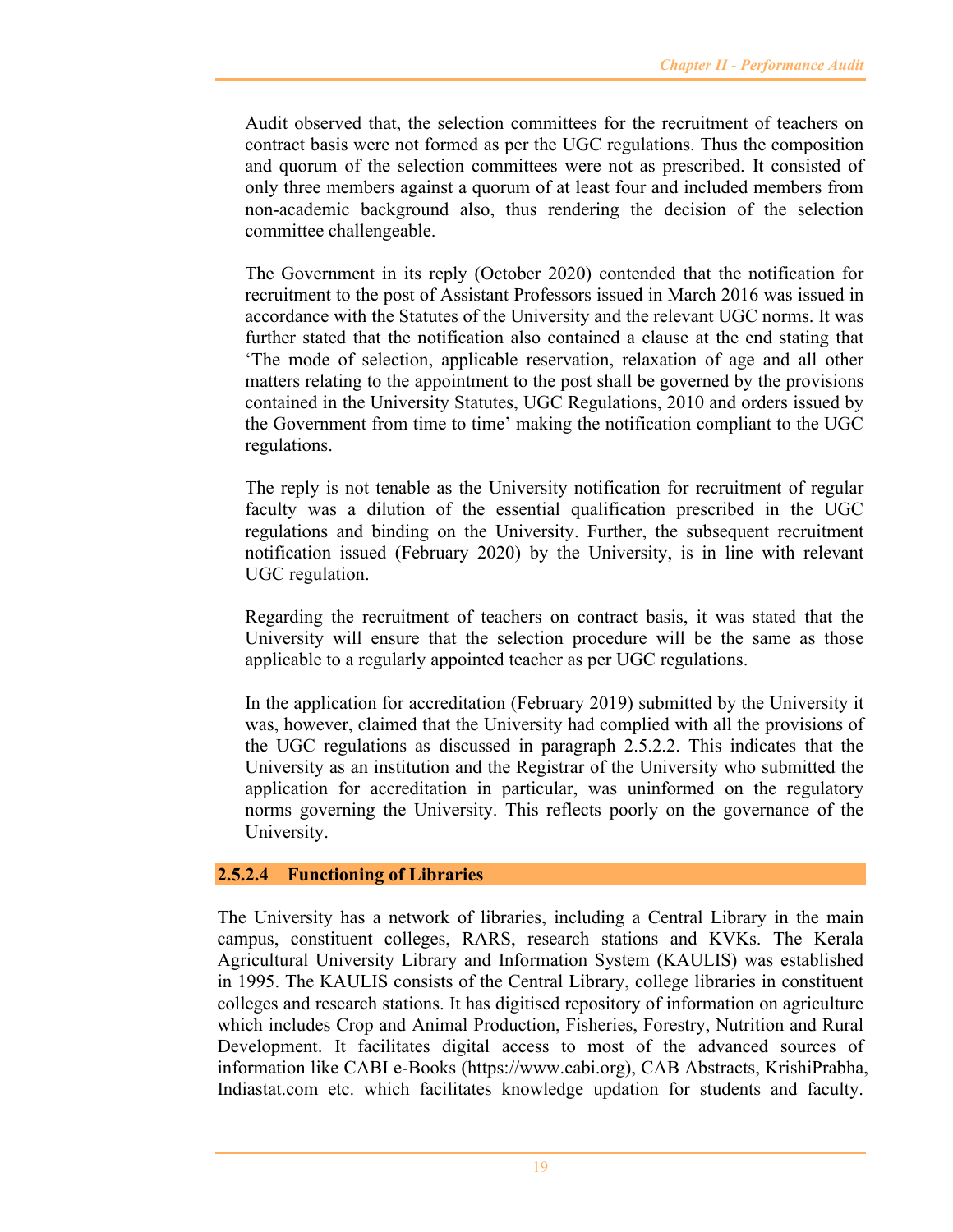Audit observed that, the selection committees for the recruitment of teachers on contract basis were not formed as per the UGC regulations. Thus the composition and quorum of the selection committees were not as prescribed. It consisted of only three members against a quorum of at least four and included members from non-academic background also, thus rendering the decision of the selection committee challengeable.

The Government in its reply (October 2020) contended that the notification for recruitment to the post of Assistant Professors issued in March 2016 was issued in accordance with the Statutes of the University and the relevant UGC norms. It was further stated that the notification also contained a clause at the end stating that 'The mode of selection, applicable reservation, relaxation of age and all other matters relating to the appointment to the post shall be governed by the provisions contained in the University Statutes, UGC Regulations, 2010 and orders issued by the Government from time to time' making the notification compliant to the UGC regulations.

The reply is not tenable as the University notification for recruitment of regular faculty was a dilution of the essential qualification prescribed in the UGC regulations and binding on the University. Further, the subsequent recruitment notification issued (February 2020) by the University, is in line with relevant UGC regulation.

Regarding the recruitment of teachers on contract basis, it was stated that the University will ensure that the selection procedure will be the same as those applicable to a regularly appointed teacher as per UGC regulations.

In the application for accreditation (February 2019) submitted by the University it was, however, claimed that the University had complied with all the provisions of the UGC regulations as discussed in paragraph 2.5.2.2. This indicates that the University as an institution and the Registrar of the University who submitted the application for accreditation in particular, was uninformed on the regulatory norms governing the University. This reflects poorly on the governance of the University.

#### **2.5.2.4 Functioning of Libraries**

The University has a network of libraries, including a Central Library in the main campus, constituent colleges, RARS, research stations and KVKs. The Kerala Agricultural University Library and Information System (KAULIS) was established in 1995. The KAULIS consists of the Central Library, college libraries in constituent colleges and research stations. It has digitised repository of information on agriculture which includes Crop and Animal Production, Fisheries, Forestry, Nutrition and Rural Development. It facilitates digital access to most of the advanced sources of information like CABI e-Books (https://www.cabi.org), CAB Abstracts, KrishiPrabha, Indiastat.com etc. which facilitates knowledge updation for students and faculty.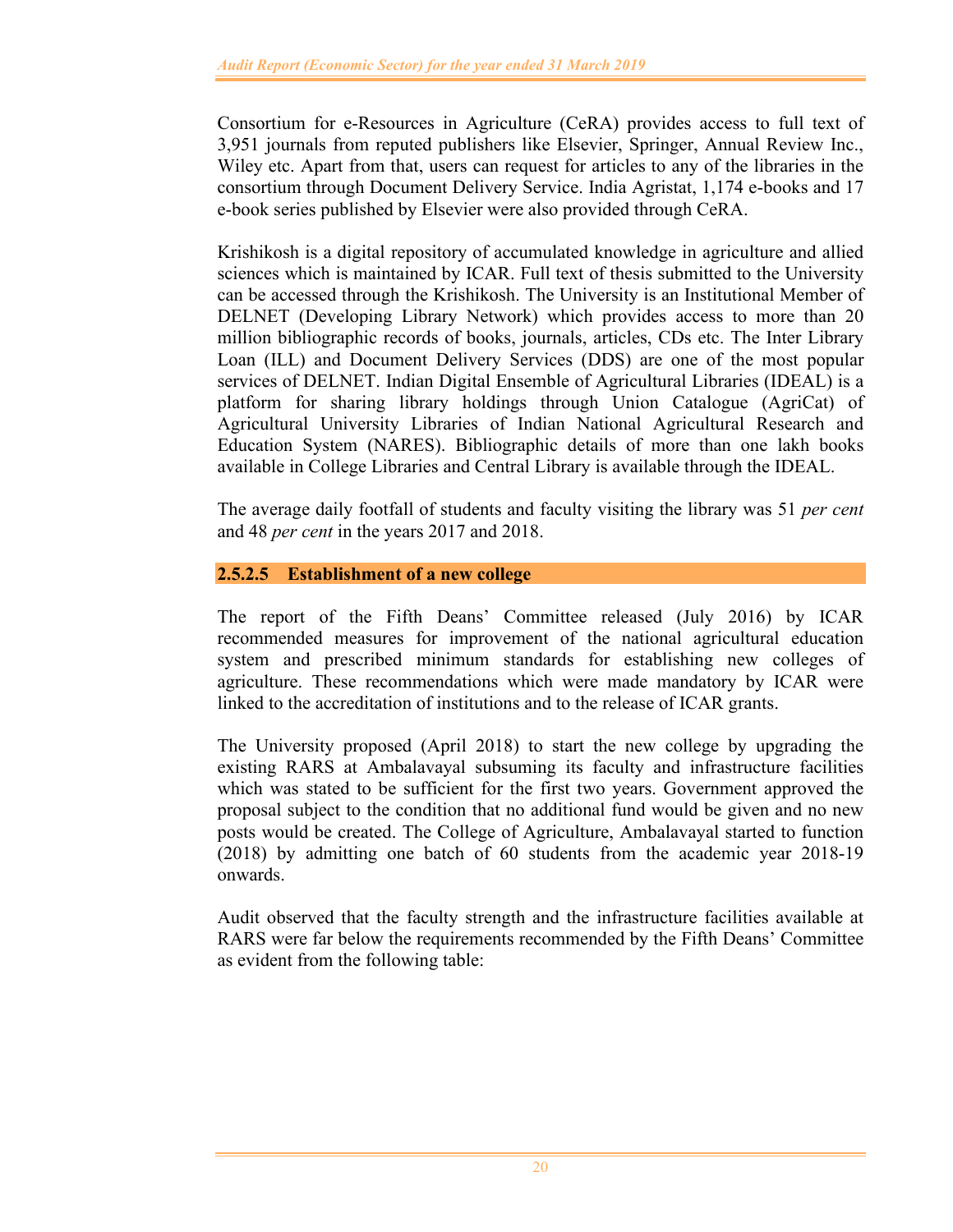Consortium for e-Resources in Agriculture (CeRA) provides access to full text of 3,951 journals from reputed publishers like Elsevier, Springer, Annual Review Inc., Wiley etc. Apart from that, users can request for articles to any of the libraries in the consortium through Document Delivery Service. India Agristat, 1,174 e-books and 17 e-book series published by Elsevier were also provided through CeRA.

Krishikosh is a digital repository of accumulated knowledge in agriculture and allied sciences which is maintained by ICAR. Full text of thesis submitted to the University can be accessed through the Krishikosh. The University is an Institutional Member of DELNET (Developing Library Network) which provides access to more than 20 million bibliographic records of books, journals, articles, CDs etc. The Inter Library Loan (ILL) and Document Delivery Services (DDS) are one of the most popular services of DELNET. Indian Digital Ensemble of Agricultural Libraries (IDEAL) is a platform for sharing library holdings through Union Catalogue (AgriCat) of Agricultural University Libraries of Indian National Agricultural Research and Education System (NARES). Bibliographic details of more than one lakh books available in College Libraries and Central Library is available through the IDEAL.

The average daily footfall of students and faculty visiting the library was 51 *per cent* and 48 *per cent* in the years 2017 and 2018.

# **2.5.2.5 Establishment of a new college**

The report of the Fifth Deans' Committee released (July 2016) by ICAR recommended measures for improvement of the national agricultural education system and prescribed minimum standards for establishing new colleges of agriculture. These recommendations which were made mandatory by ICAR were linked to the accreditation of institutions and to the release of ICAR grants.

The University proposed (April 2018) to start the new college by upgrading the existing RARS at Ambalavayal subsuming its faculty and infrastructure facilities which was stated to be sufficient for the first two years. Government approved the proposal subject to the condition that no additional fund would be given and no new posts would be created. The College of Agriculture, Ambalavayal started to function (2018) by admitting one batch of 60 students from the academic year 2018-19 onwards.

Audit observed that the faculty strength and the infrastructure facilities available at RARS were far below the requirements recommended by the Fifth Deans' Committee as evident from the following table: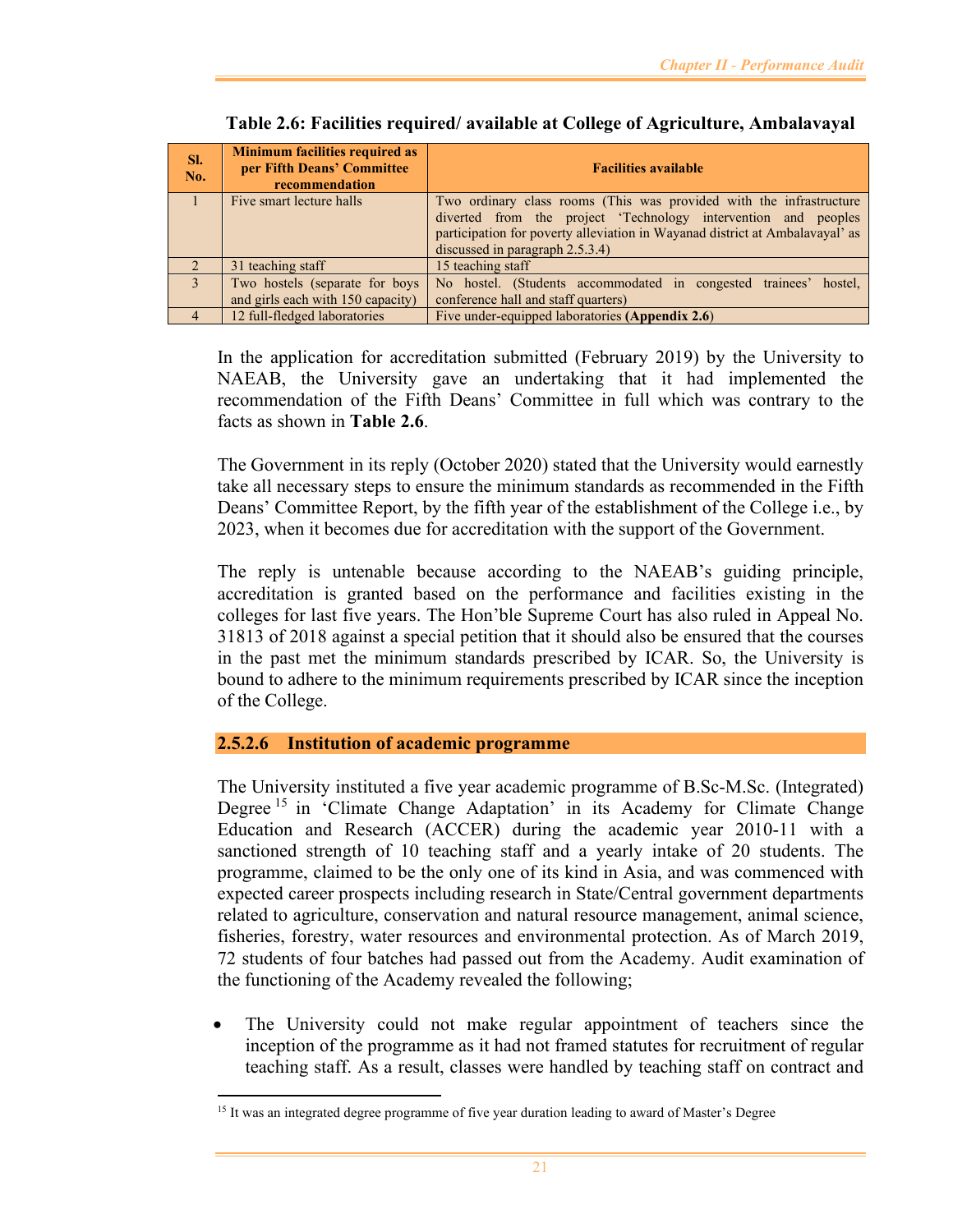| SI.<br>No. | <b>Minimum facilities required as</b><br>per Fifth Deans' Committee<br>recommendation | <b>Facilities available</b>                                                                                                                                                                                                                              |
|------------|---------------------------------------------------------------------------------------|----------------------------------------------------------------------------------------------------------------------------------------------------------------------------------------------------------------------------------------------------------|
|            | Five smart lecture halls                                                              | Two ordinary class rooms (This was provided with the infrastructure<br>diverted from the project 'Technology intervention and peoples<br>participation for poverty alleviation in Wayanad district at Ambalavayal' as<br>discussed in paragraph 2.5.3.4) |
|            | 31 teaching staff                                                                     | 15 teaching staff                                                                                                                                                                                                                                        |
|            | Two hostels (separate for boys<br>and girls each with 150 capacity)                   | No hostel. (Students accommodated in congested trainees' hostel,<br>conference hall and staff quarters)                                                                                                                                                  |
|            |                                                                                       |                                                                                                                                                                                                                                                          |
|            | 12 full-fledged laboratories                                                          | Five under-equipped laboratories (Appendix 2.6)                                                                                                                                                                                                          |

**Table 2.6: Facilities required/ available at College of Agriculture, Ambalavayal** 

In the application for accreditation submitted (February 2019) by the University to NAEAB, the University gave an undertaking that it had implemented the recommendation of the Fifth Deans' Committee in full which was contrary to the facts as shown in **Table 2.6**.

The Government in its reply (October 2020) stated that the University would earnestly take all necessary steps to ensure the minimum standards as recommended in the Fifth Deans' Committee Report, by the fifth year of the establishment of the College i.e., by 2023, when it becomes due for accreditation with the support of the Government.

The reply is untenable because according to the NAEAB's guiding principle, accreditation is granted based on the performance and facilities existing in the colleges for last five years. The Hon'ble Supreme Court has also ruled in Appeal No. 31813 of 2018 against a special petition that it should also be ensured that the courses in the past met the minimum standards prescribed by ICAR. So, the University is bound to adhere to the minimum requirements prescribed by ICAR since the inception of the College.

# **2.5.2.6 Institution of academic programme**

The University instituted a five year academic programme of B.Sc-M.Sc. (Integrated) Degree<sup>15</sup> in 'Climate Change Adaptation' in its Academy for Climate Change Education and Research (ACCER) during the academic year 2010-11 with a sanctioned strength of 10 teaching staff and a yearly intake of 20 students. The programme, claimed to be the only one of its kind in Asia, and was commenced with expected career prospects including research in State/Central government departments related to agriculture, conservation and natural resource management, animal science, fisheries, forestry, water resources and environmental protection. As of March 2019, 72 students of four batches had passed out from the Academy. Audit examination of the functioning of the Academy revealed the following;

 The University could not make regular appointment of teachers since the inception of the programme as it had not framed statutes for recruitment of regular teaching staff. As a result, classes were handled by teaching staff on contract and

<sup>&</sup>lt;sup>15</sup> It was an integrated degree programme of five year duration leading to award of Master's Degree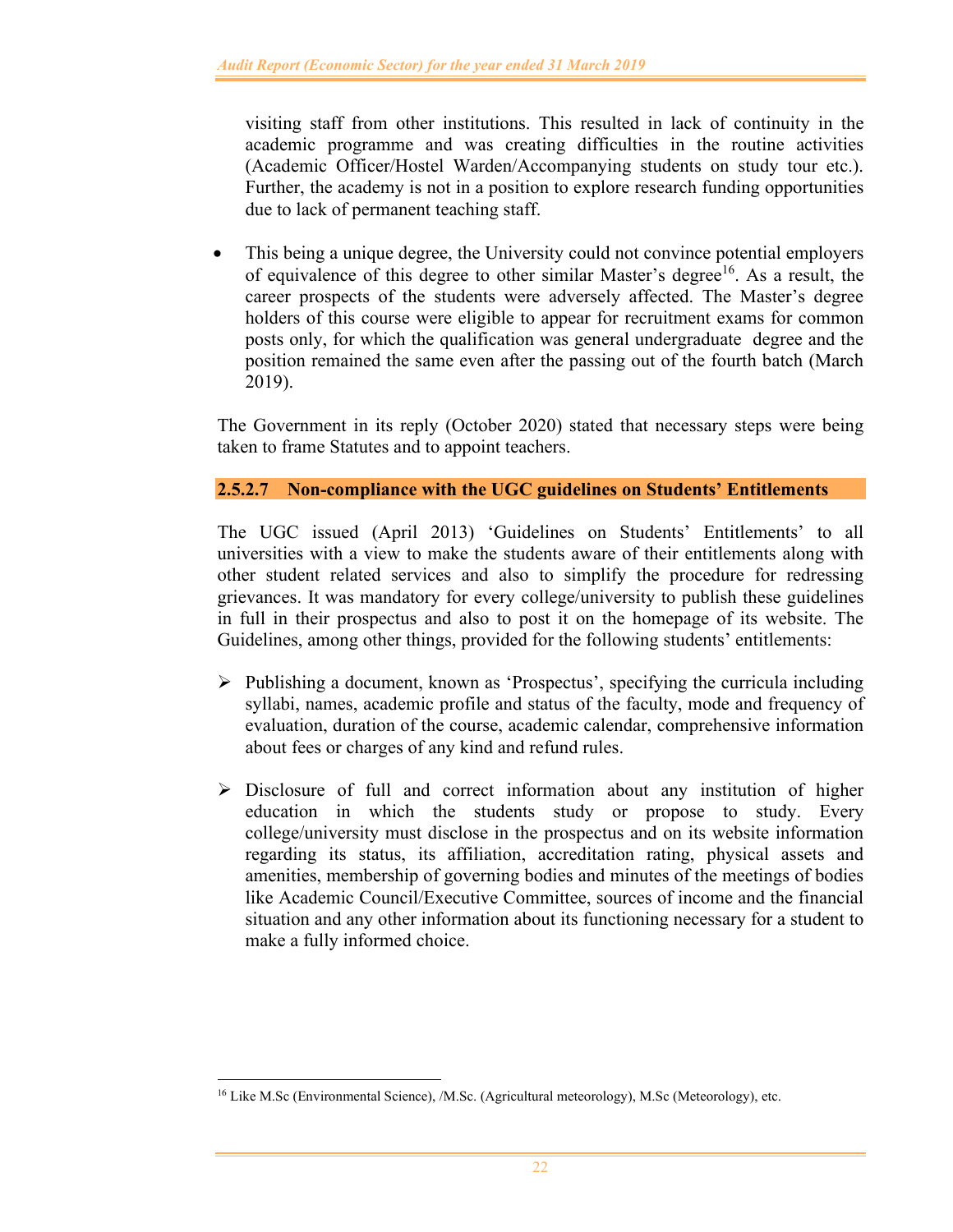visiting staff from other institutions. This resulted in lack of continuity in the academic programme and was creating difficulties in the routine activities (Academic Officer/Hostel Warden/Accompanying students on study tour etc.). Further, the academy is not in a position to explore research funding opportunities due to lack of permanent teaching staff.

• This being a unique degree, the University could not convince potential employers of equivalence of this degree to other similar Master's degree<sup>16</sup>. As a result, the career prospects of the students were adversely affected. The Master's degree holders of this course were eligible to appear for recruitment exams for common posts only, for which the qualification was general undergraduate degree and the position remained the same even after the passing out of the fourth batch (March 2019).

The Government in its reply (October 2020) stated that necessary steps were being taken to frame Statutes and to appoint teachers.

# **2.5.2.7 Non-compliance with the UGC guidelines on Students' Entitlements**

The UGC issued (April 2013) 'Guidelines on Students' Entitlements' to all universities with a view to make the students aware of their entitlements along with other student related services and also to simplify the procedure for redressing grievances. It was mandatory for every college/university to publish these guidelines in full in their prospectus and also to post it on the homepage of its website. The Guidelines, among other things, provided for the following students' entitlements:

- $\triangleright$  Publishing a document, known as 'Prospectus', specifying the curricula including syllabi, names, academic profile and status of the faculty, mode and frequency of evaluation, duration of the course, academic calendar, comprehensive information about fees or charges of any kind and refund rules.
- $\triangleright$  Disclosure of full and correct information about any institution of higher education in which the students study or propose to study. Every college/university must disclose in the prospectus and on its website information regarding its status, its affiliation, accreditation rating, physical assets and amenities, membership of governing bodies and minutes of the meetings of bodies like Academic Council/Executive Committee, sources of income and the financial situation and any other information about its functioning necessary for a student to make a fully informed choice.

<sup>&</sup>lt;sup>16</sup> Like M.Sc (Environmental Science), /M.Sc. (Agricultural meteorology), M.Sc (Meteorology), etc.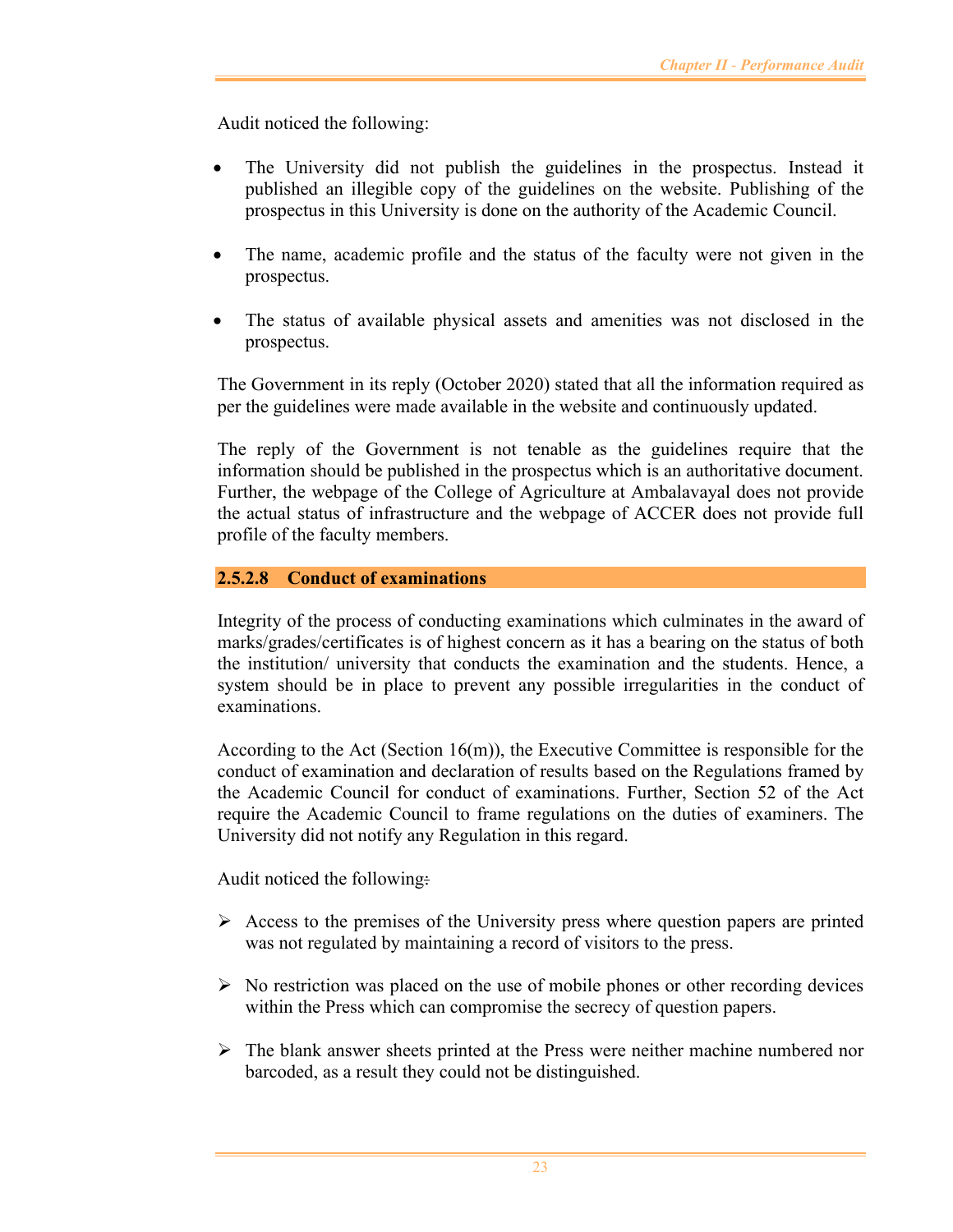Audit noticed the following:

- The University did not publish the guidelines in the prospectus. Instead it published an illegible copy of the guidelines on the website. Publishing of the prospectus in this University is done on the authority of the Academic Council.
- The name, academic profile and the status of the faculty were not given in the prospectus.
- The status of available physical assets and amenities was not disclosed in the prospectus.

The Government in its reply (October 2020) stated that all the information required as per the guidelines were made available in the website and continuously updated.

The reply of the Government is not tenable as the guidelines require that the information should be published in the prospectus which is an authoritative document. Further, the webpage of the College of Agriculture at Ambalavayal does not provide the actual status of infrastructure and the webpage of ACCER does not provide full profile of the faculty members.

## **2.5.2.8 Conduct of examinations**

Integrity of the process of conducting examinations which culminates in the award of marks/grades/certificates is of highest concern as it has a bearing on the status of both the institution/ university that conducts the examination and the students. Hence, a system should be in place to prevent any possible irregularities in the conduct of examinations.

According to the Act (Section  $16(m)$ ), the Executive Committee is responsible for the conduct of examination and declaration of results based on the Regulations framed by the Academic Council for conduct of examinations. Further, Section 52 of the Act require the Academic Council to frame regulations on the duties of examiners. The University did not notify any Regulation in this regard.

Audit noticed the following:

- $\triangleright$  Access to the premises of the University press where question papers are printed was not regulated by maintaining a record of visitors to the press.
- $\triangleright$  No restriction was placed on the use of mobile phones or other recording devices within the Press which can compromise the secrecy of question papers.
- $\triangleright$  The blank answer sheets printed at the Press were neither machine numbered nor barcoded, as a result they could not be distinguished.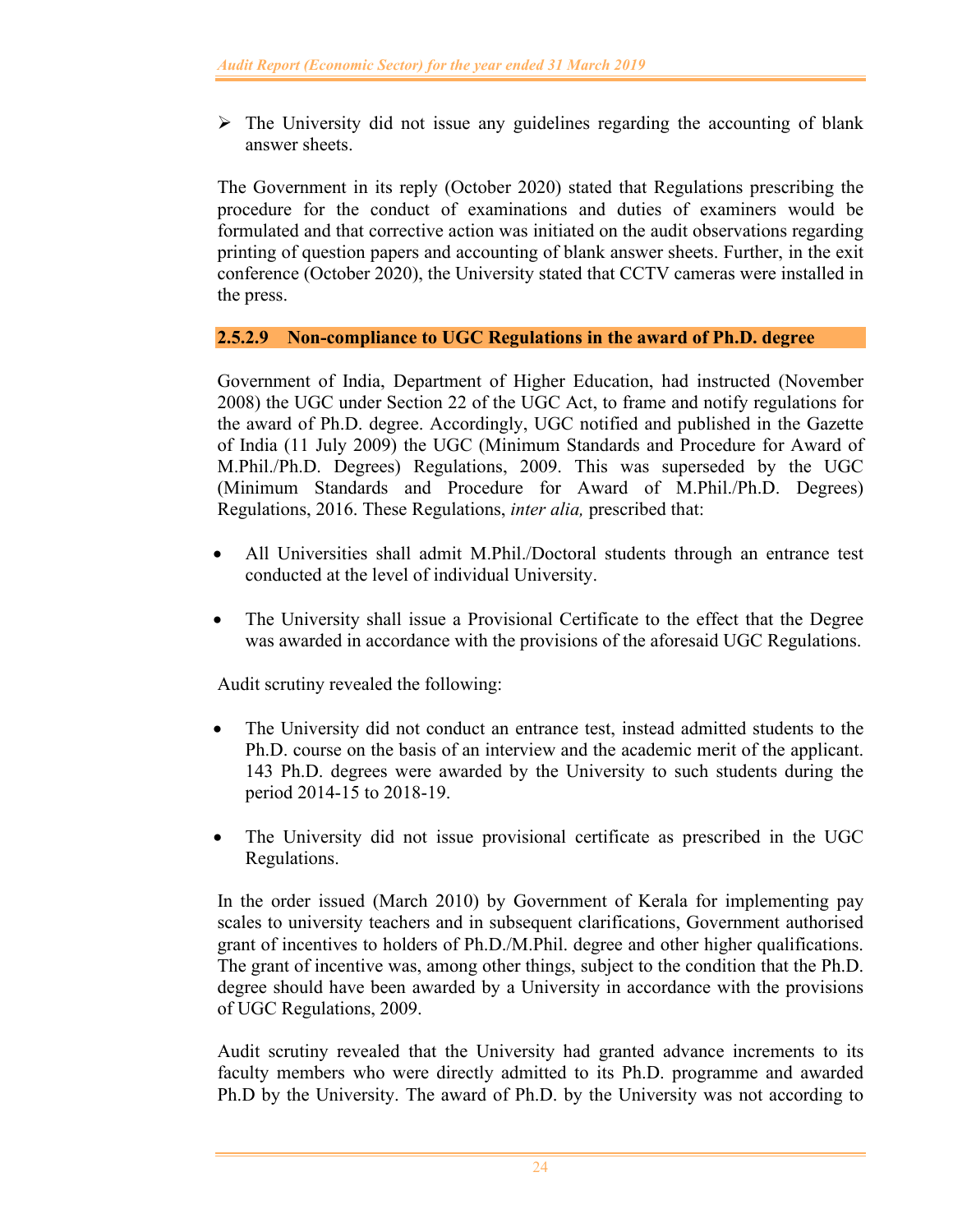$\triangleright$  The University did not issue any guidelines regarding the accounting of blank answer sheets.

The Government in its reply (October 2020) stated that Regulations prescribing the procedure for the conduct of examinations and duties of examiners would be formulated and that corrective action was initiated on the audit observations regarding printing of question papers and accounting of blank answer sheets. Further, in the exit conference (October 2020), the University stated that CCTV cameras were installed in the press.

# **2.5.2.9 Non-compliance to UGC Regulations in the award of Ph.D. degree**

Government of India, Department of Higher Education, had instructed (November 2008) the UGC under Section 22 of the UGC Act, to frame and notify regulations for the award of Ph.D. degree. Accordingly, UGC notified and published in the Gazette of India (11 July 2009) the UGC (Minimum Standards and Procedure for Award of M.Phil./Ph.D. Degrees) Regulations, 2009. This was superseded by the UGC (Minimum Standards and Procedure for Award of M.Phil./Ph.D. Degrees) Regulations, 2016. These Regulations, *inter alia,* prescribed that:

- All Universities shall admit M.Phil./Doctoral students through an entrance test conducted at the level of individual University.
- The University shall issue a Provisional Certificate to the effect that the Degree was awarded in accordance with the provisions of the aforesaid UGC Regulations.

Audit scrutiny revealed the following:

- The University did not conduct an entrance test, instead admitted students to the Ph.D. course on the basis of an interview and the academic merit of the applicant. 143 Ph.D. degrees were awarded by the University to such students during the period 2014-15 to 2018-19.
- The University did not issue provisional certificate as prescribed in the UGC Regulations.

In the order issued (March 2010) by Government of Kerala for implementing pay scales to university teachers and in subsequent clarifications, Government authorised grant of incentives to holders of Ph.D./M.Phil. degree and other higher qualifications. The grant of incentive was, among other things, subject to the condition that the Ph.D. degree should have been awarded by a University in accordance with the provisions of UGC Regulations, 2009.

Audit scrutiny revealed that the University had granted advance increments to its faculty members who were directly admitted to its Ph.D. programme and awarded Ph.D by the University. The award of Ph.D. by the University was not according to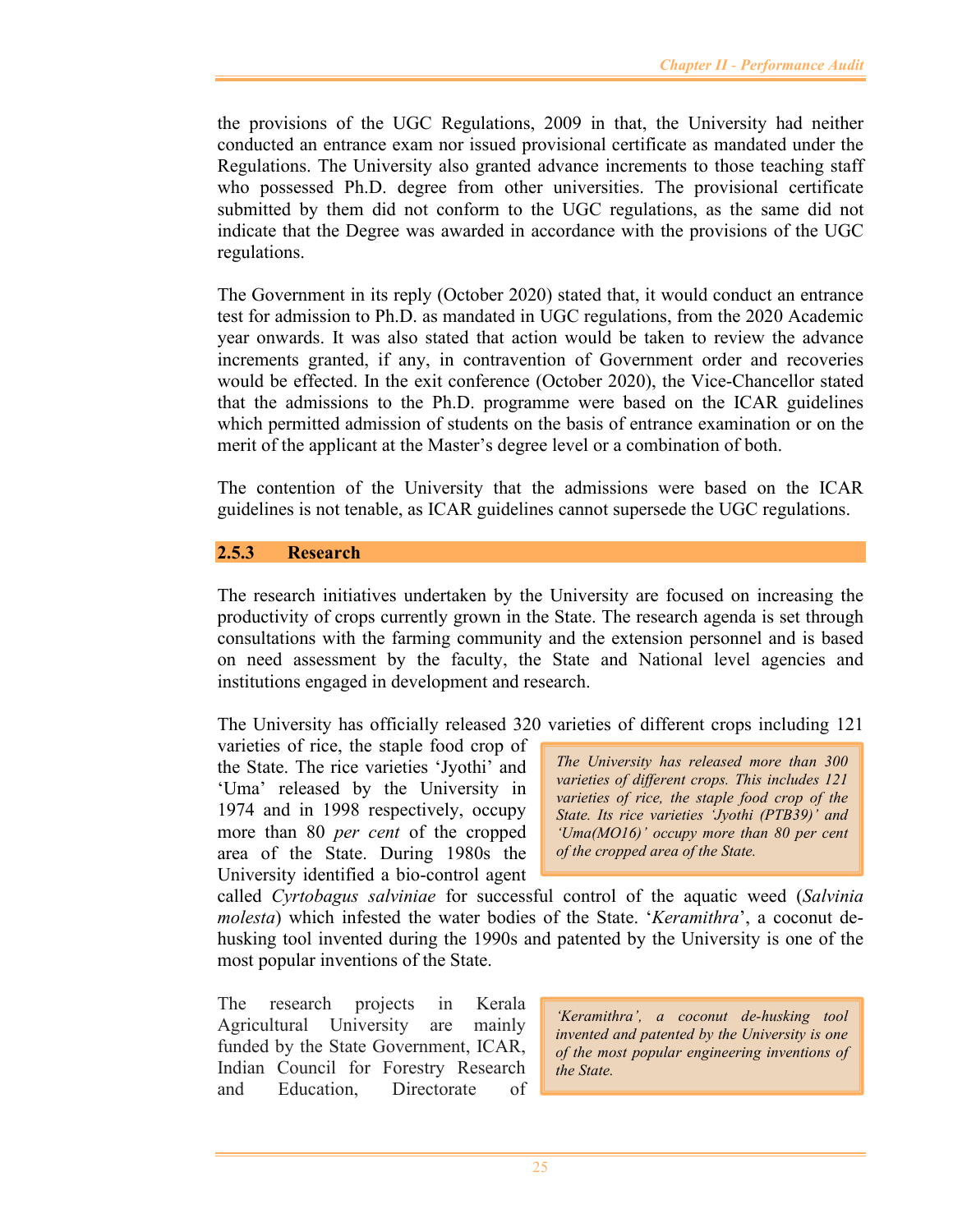the provisions of the UGC Regulations, 2009 in that, the University had neither conducted an entrance exam nor issued provisional certificate as mandated under the Regulations. The University also granted advance increments to those teaching staff who possessed Ph.D. degree from other universities. The provisional certificate submitted by them did not conform to the UGC regulations, as the same did not indicate that the Degree was awarded in accordance with the provisions of the UGC regulations.

The Government in its reply (October 2020) stated that, it would conduct an entrance test for admission to Ph.D. as mandated in UGC regulations, from the 2020 Academic year onwards. It was also stated that action would be taken to review the advance increments granted, if any, in contravention of Government order and recoveries would be effected. In the exit conference (October 2020), the Vice-Chancellor stated that the admissions to the Ph.D. programme were based on the ICAR guidelines which permitted admission of students on the basis of entrance examination or on the merit of the applicant at the Master's degree level or a combination of both.

The contention of the University that the admissions were based on the ICAR guidelines is not tenable, as ICAR guidelines cannot supersede the UGC regulations.

# **2.5.3 Research**

The research initiatives undertaken by the University are focused on increasing the productivity of crops currently grown in the State. The research agenda is set through consultations with the farming community and the extension personnel and is based on need assessment by the faculty, the State and National level agencies and institutions engaged in development and research.

The University has officially released 320 varieties of different crops including 121

varieties of rice, the staple food crop of the State. The rice varieties 'Jyothi' and 'Uma' released by the University in 1974 and in 1998 respectively, occupy more than 80 *per cent* of the cropped area of the State. During 1980s the University identified a bio-control agent

*The University has released more than 300 varieties of different crops. This includes 121 varieties of rice, the staple food crop of the State. Its rice varieties 'Jyothi (PTB39)' and 'Uma(MO16)' occupy more than 80 per cent of the cropped area of the State.* 

called *Cyrtobagus salviniae* for successful control of the aquatic weed (*Salvinia molesta*) which infested the water bodies of the State. '*Keramithra*', a coconut dehusking tool invented during the 1990s and patented by the University is one of the most popular inventions of the State.

The research projects in Kerala Agricultural University are mainly funded by the State Government, ICAR, Indian Council for Forestry Research and Education, Directorate of

*'Keramithra', a coconut de-husking tool invented and patented by the University is one of the most popular engineering inventions of the State.*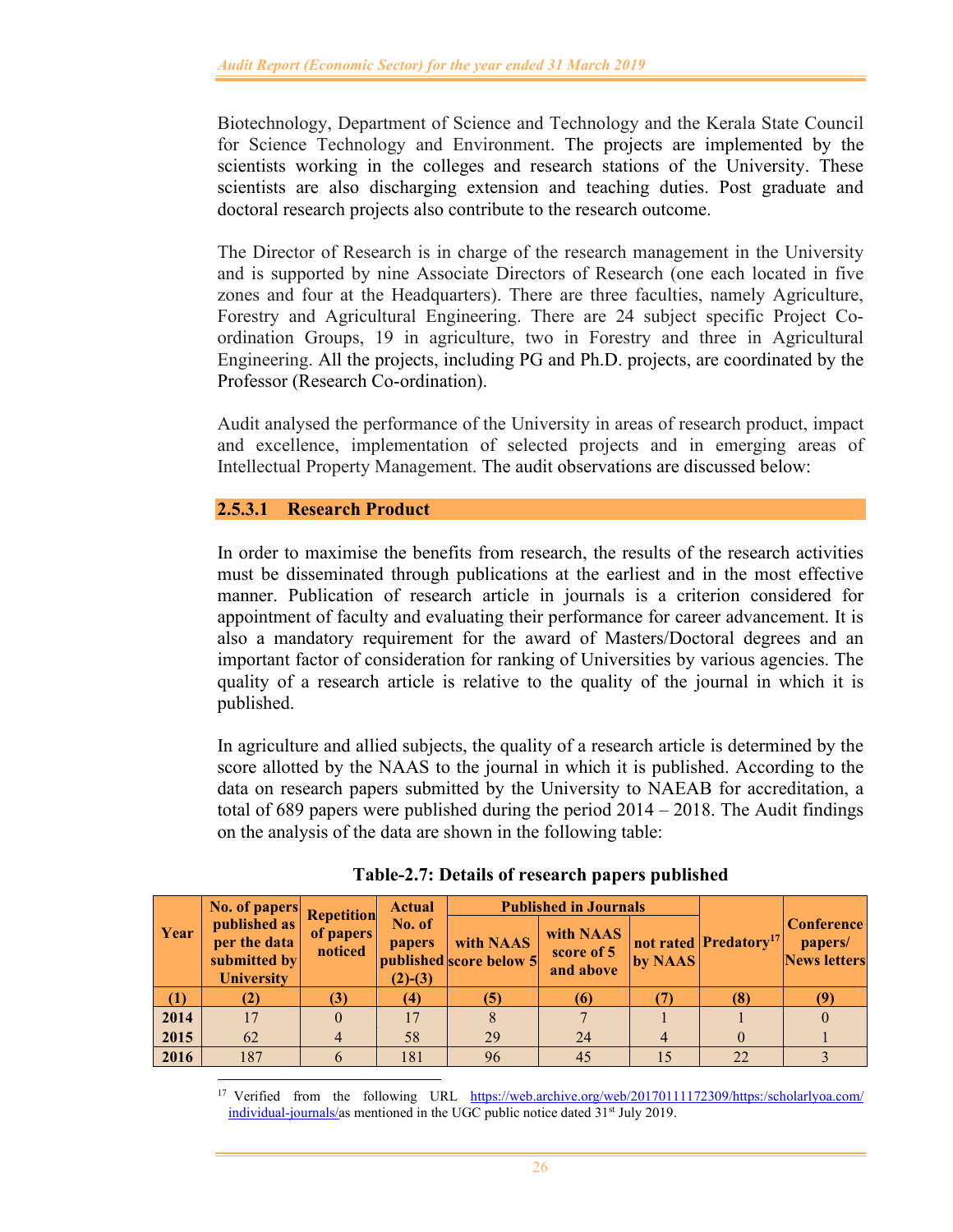Biotechnology, Department of Science and Technology and the Kerala State Council for Science Technology and Environment. The projects are implemented by the scientists working in the colleges and research stations of the University. These scientists are also discharging extension and teaching duties. Post graduate and doctoral research projects also contribute to the research outcome.

The Director of Research is in charge of the research management in the University and is supported by nine Associate Directors of Research (one each located in five zones and four at the Headquarters). There are three faculties, namely Agriculture, Forestry and Agricultural Engineering. There are 24 subject specific Project Coordination Groups, 19 in agriculture, two in Forestry and three in Agricultural Engineering. All the projects, including PG and Ph.D. projects, are coordinated by the Professor (Research Co-ordination).

Audit analysed the performance of the University in areas of research product, impact and excellence, implementation of selected projects and in emerging areas of Intellectual Property Management. The audit observations are discussed below:

# **2.5.3.1 Research Product**

In order to maximise the benefits from research, the results of the research activities must be disseminated through publications at the earliest and in the most effective manner. Publication of research article in journals is a criterion considered for appointment of faculty and evaluating their performance for career advancement. It is also a mandatory requirement for the award of Masters/Doctoral degrees and an important factor of consideration for ranking of Universities by various agencies. The quality of a research article is relative to the quality of the journal in which it is published.

In agriculture and allied subjects, the quality of a research article is determined by the score allotted by the NAAS to the journal in which it is published. According to the data on research papers submitted by the University to NAEAB for accreditation, a total of 689 papers were published during the period 2014 – 2018. The Audit findings on the analysis of the data are shown in the following table:

|                | No. of papers                                                     | <b>Repetition</b>    | <b>Actual</b>                        |                                      | <b>Published in Journals</b>         |         |                                   |                                                     |
|----------------|-------------------------------------------------------------------|----------------------|--------------------------------------|--------------------------------------|--------------------------------------|---------|-----------------------------------|-----------------------------------------------------|
| Year           | published as<br>per the data<br>submitted by<br><b>University</b> | of papers<br>noticed | No. of<br><b>papers</b><br>$(2)-(3)$ | with NAAS<br>published score below 5 | with NAAS<br>score of 5<br>and above | by NAAS | not rated Predatory <sup>17</sup> | <b>Conference</b><br>papers/<br><b>News letters</b> |
| (1)            | (2)                                                               |                      | (4)                                  | (5)                                  | (6)                                  |         | (8)                               | 79                                                  |
| $\boxed{2014}$ | 17                                                                |                      |                                      |                                      |                                      |         |                                   |                                                     |
| 2015           | 62                                                                |                      | 58                                   | 29                                   | 24                                   |         |                                   |                                                     |
| 2016           | 187                                                               |                      | 181                                  | 96                                   | 45                                   | 15      | 22                                |                                                     |

**Table-2.7: Details of research papers published** 

<sup>17</sup> Verified from the following URL https://web.archive.org/web/20170111172309/https:/scholarlyoa.com/ individual-journals/as mentioned in the UGC public notice dated 31<sup>st</sup> July 2019.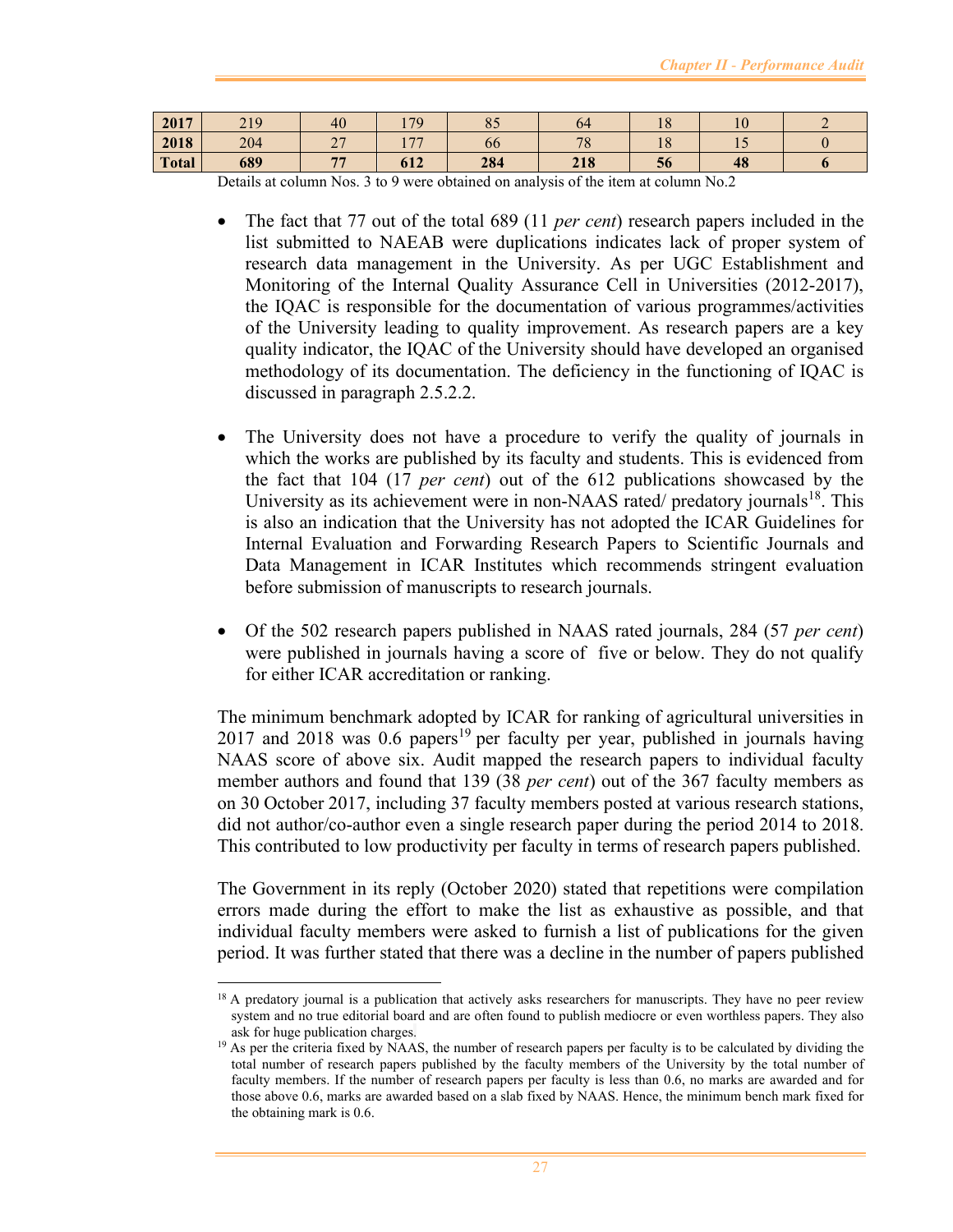| 2017         | 219 | 40                       | 70<br>. .             | O E<br>$\mathbf{O}$ | 64               | $\Omega$<br>1 O | $\sqrt{ }$     |  |
|--------------|-----|--------------------------|-----------------------|---------------------|------------------|-----------------|----------------|--|
| 2018         | 204 | $\sim$<br>$\overline{ }$ | $\overline{H}$<br>. . | 66                  | 70<br>$\sqrt{8}$ | $\Omega$<br>10  | $\overline{1}$ |  |
| <b>Total</b> | 689 | $-1-$                    | 612                   | 284                 | 218              | 30              | 48             |  |

Details at column Nos. 3 to 9 were obtained on analysis of the item at column No.2

- The fact that 77 out of the total 689 (11 *per cent*) research papers included in the list submitted to NAEAB were duplications indicates lack of proper system of research data management in the University. As per UGC Establishment and Monitoring of the Internal Quality Assurance Cell in Universities (2012-2017), the IQAC is responsible for the documentation of various programmes/activities of the University leading to quality improvement. As research papers are a key quality indicator, the IQAC of the University should have developed an organised methodology of its documentation. The deficiency in the functioning of IQAC is discussed in paragraph 2.5.2.2.
- The University does not have a procedure to verify the quality of journals in which the works are published by its faculty and students. This is evidenced from the fact that 104 (17 *per cent*) out of the 612 publications showcased by the University as its achievement were in non-NAAS rated/ predatory journals<sup>18</sup>. This is also an indication that the University has not adopted the ICAR Guidelines for Internal Evaluation and Forwarding Research Papers to Scientific Journals and Data Management in ICAR Institutes which recommends stringent evaluation before submission of manuscripts to research journals.
- Of the 502 research papers published in NAAS rated journals, 284 (57 *per cent*) were published in journals having a score of five or below. They do not qualify for either ICAR accreditation or ranking.

The minimum benchmark adopted by ICAR for ranking of agricultural universities in  $2017$  and  $2018$  was  $0.6$  papers<sup>19</sup> per faculty per year, published in journals having NAAS score of above six. Audit mapped the research papers to individual faculty member authors and found that 139 (38 *per cent*) out of the 367 faculty members as on 30 October 2017, including 37 faculty members posted at various research stations, did not author/co-author even a single research paper during the period 2014 to 2018. This contributed to low productivity per faculty in terms of research papers published.

The Government in its reply (October 2020) stated that repetitions were compilation errors made during the effort to make the list as exhaustive as possible, and that individual faculty members were asked to furnish a list of publications for the given period. It was further stated that there was a decline in the number of papers published

<sup>&</sup>lt;sup>18</sup> A predatory journal is a publication that actively asks researchers for manuscripts. They have no peer review system and no true editorial board and are often found to publish mediocre or even worthless papers. They also ask for huge publication charges.

<sup>&</sup>lt;sup>19</sup> As per the criteria fixed by NAAS, the number of research papers per faculty is to be calculated by dividing the total number of research papers published by the faculty members of the University by the total number of faculty members. If the number of research papers per faculty is less than 0.6, no marks are awarded and for those above 0.6, marks are awarded based on a slab fixed by NAAS. Hence, the minimum bench mark fixed for the obtaining mark is 0.6.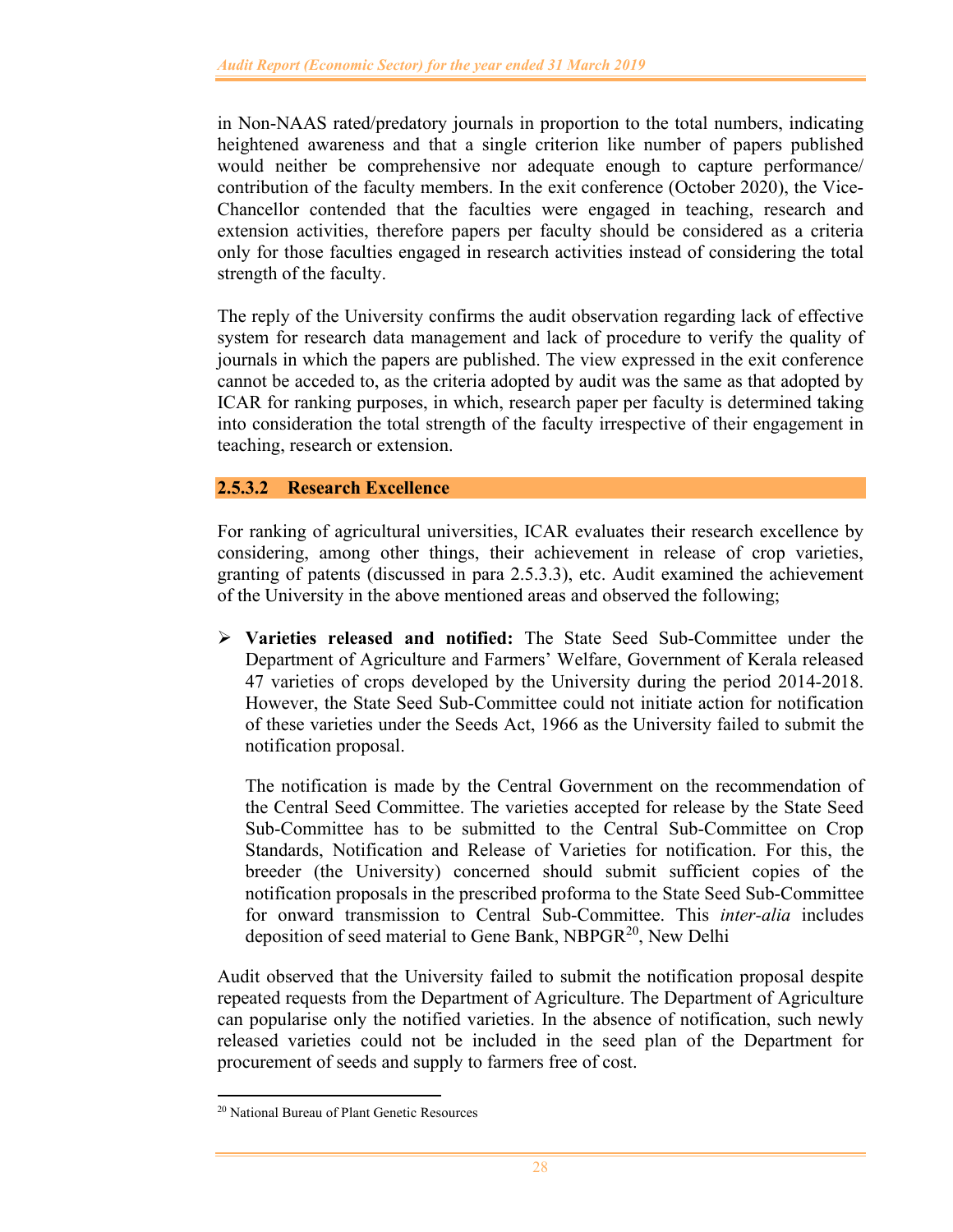in Non-NAAS rated/predatory journals in proportion to the total numbers, indicating heightened awareness and that a single criterion like number of papers published would neither be comprehensive nor adequate enough to capture performance/ contribution of the faculty members. In the exit conference (October 2020), the Vice-Chancellor contended that the faculties were engaged in teaching, research and extension activities, therefore papers per faculty should be considered as a criteria only for those faculties engaged in research activities instead of considering the total strength of the faculty.

The reply of the University confirms the audit observation regarding lack of effective system for research data management and lack of procedure to verify the quality of journals in which the papers are published. The view expressed in the exit conference cannot be acceded to, as the criteria adopted by audit was the same as that adopted by ICAR for ranking purposes, in which, research paper per faculty is determined taking into consideration the total strength of the faculty irrespective of their engagement in teaching, research or extension.

# **2.5.3.2 Research Excellence**

For ranking of agricultural universities, ICAR evaluates their research excellence by considering, among other things, their achievement in release of crop varieties, granting of patents (discussed in para 2.5.3.3), etc. Audit examined the achievement of the University in the above mentioned areas and observed the following;

 **Varieties released and notified:** The State Seed Sub-Committee under the Department of Agriculture and Farmers' Welfare, Government of Kerala released 47 varieties of crops developed by the University during the period 2014-2018. However, the State Seed Sub-Committee could not initiate action for notification of these varieties under the Seeds Act, 1966 as the University failed to submit the notification proposal.

The notification is made by the Central Government on the recommendation of the Central Seed Committee. The varieties accepted for release by the State Seed Sub-Committee has to be submitted to the Central Sub-Committee on Crop Standards, Notification and Release of Varieties for notification. For this, the breeder (the University) concerned should submit sufficient copies of the notification proposals in the prescribed proforma to the State Seed Sub-Committee for onward transmission to Central Sub-Committee. This *inter-alia* includes deposition of seed material to Gene Bank, NBPGR<sup>20</sup>, New Delhi

Audit observed that the University failed to submit the notification proposal despite repeated requests from the Department of Agriculture. The Department of Agriculture can popularise only the notified varieties. In the absence of notification, such newly released varieties could not be included in the seed plan of the Department for procurement of seeds and supply to farmers free of cost.

<sup>20</sup> National Bureau of Plant Genetic Resources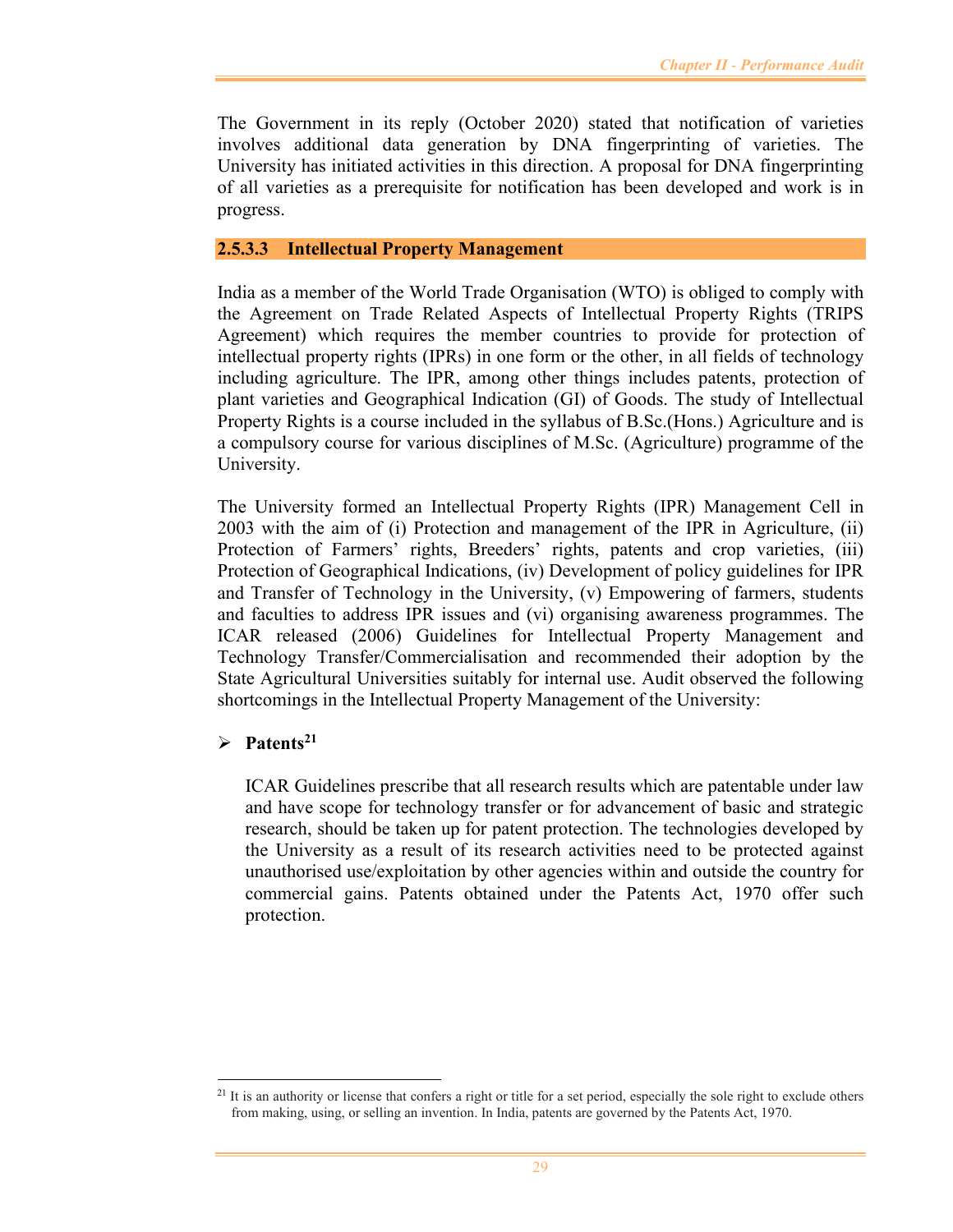The Government in its reply (October 2020) stated that notification of varieties involves additional data generation by DNA fingerprinting of varieties. The University has initiated activities in this direction. A proposal for DNA fingerprinting of all varieties as a prerequisite for notification has been developed and work is in progress.

### **2.5.3.3 Intellectual Property Management**

India as a member of the World Trade Organisation (WTO) is obliged to comply with the Agreement on Trade Related Aspects of Intellectual Property Rights (TRIPS Agreement) which requires the member countries to provide for protection of intellectual property rights (IPRs) in one form or the other, in all fields of technology including agriculture. The IPR, among other things includes patents, protection of plant varieties and Geographical Indication (GI) of Goods. The study of Intellectual Property Rights is a course included in the syllabus of B.Sc.(Hons.) Agriculture and is a compulsory course for various disciplines of M.Sc. (Agriculture) programme of the University.

The University formed an Intellectual Property Rights (IPR) Management Cell in 2003 with the aim of (i) Protection and management of the IPR in Agriculture, (ii) Protection of Farmers' rights, Breeders' rights, patents and crop varieties, (iii) Protection of Geographical Indications, (iv) Development of policy guidelines for IPR and Transfer of Technology in the University, (v) Empowering of farmers, students and faculties to address IPR issues and (vi) organising awareness programmes. The ICAR released (2006) Guidelines for Intellectual Property Management and Technology Transfer/Commercialisation and recommended their adoption by the State Agricultural Universities suitably for internal use. Audit observed the following shortcomings in the Intellectual Property Management of the University:

## **Patents<sup>21</sup>**

ICAR Guidelines prescribe that all research results which are patentable under law and have scope for technology transfer or for advancement of basic and strategic research, should be taken up for patent protection. The technologies developed by the University as a result of its research activities need to be protected against unauthorised use/exploitation by other agencies within and outside the country for commercial gains. Patents obtained under the Patents Act, 1970 offer such protection.

<sup>&</sup>lt;sup>21</sup> It is an authority or license that confers a right or title for a set period, especially the sole right to exclude others from making, using, or selling an invention. In India, patents are governed by the Patents Act, 1970.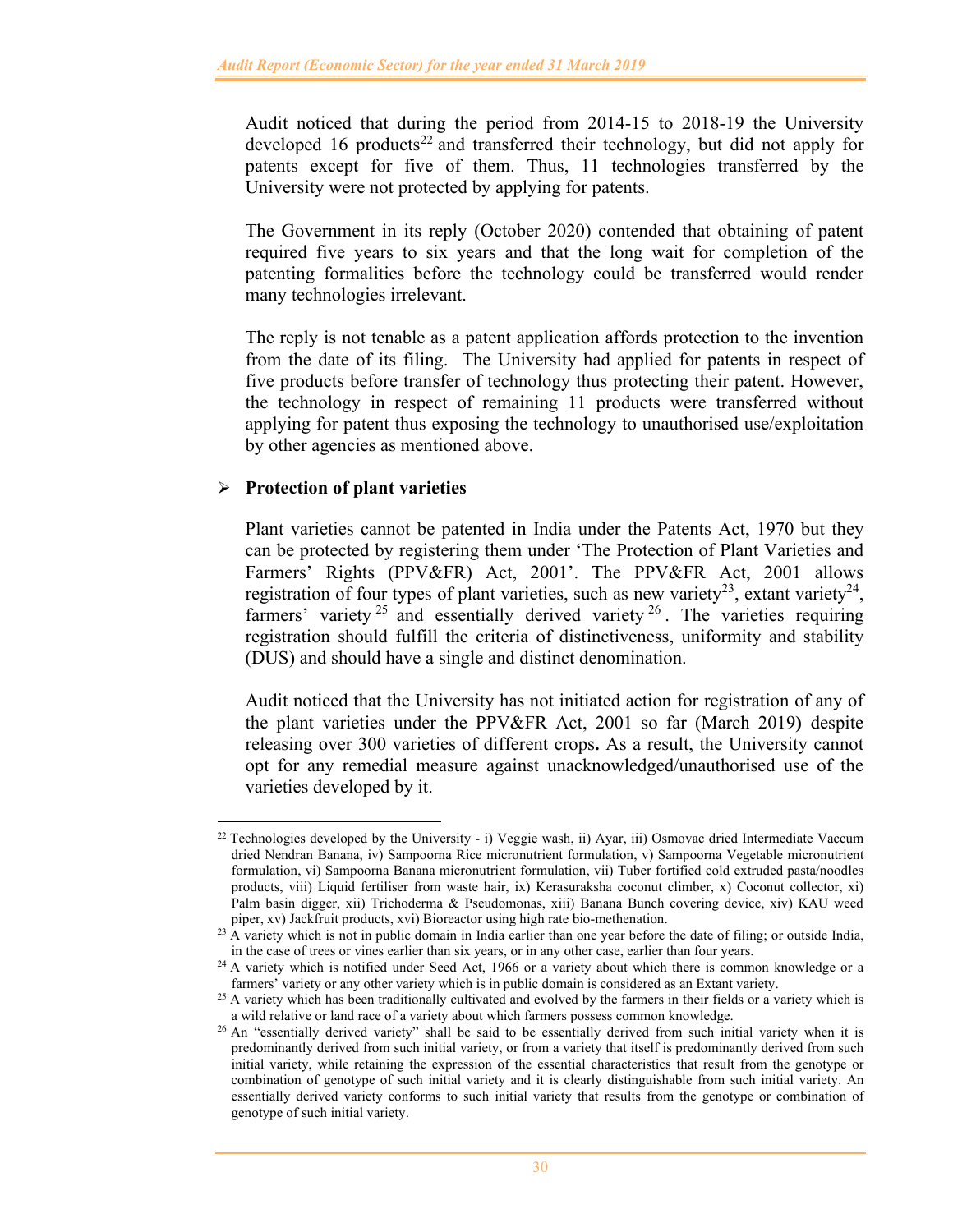Audit noticed that during the period from 2014-15 to 2018-19 the University developed 16 products<sup>22</sup> and transferred their technology, but did not apply for patents except for five of them. Thus, 11 technologies transferred by the University were not protected by applying for patents.

The Government in its reply (October 2020) contended that obtaining of patent required five years to six years and that the long wait for completion of the patenting formalities before the technology could be transferred would render many technologies irrelevant.

The reply is not tenable as a patent application affords protection to the invention from the date of its filing. The University had applied for patents in respect of five products before transfer of technology thus protecting their patent. However, the technology in respect of remaining 11 products were transferred without applying for patent thus exposing the technology to unauthorised use/exploitation by other agencies as mentioned above.

# **Protection of plant varieties**

Plant varieties cannot be patented in India under the Patents Act, 1970 but they can be protected by registering them under 'The Protection of Plant Varieties and Farmers' Rights (PPV&FR) Act, 2001'. The PPV&FR Act, 2001 allows registration of four types of plant varieties, such as new variety<sup>23</sup>, extant variety<sup>24</sup>, farmers' variety  $2^5$  and essentially derived variety  $2^6$ . The varieties requiring registration should fulfill the criteria of distinctiveness, uniformity and stability (DUS) and should have a single and distinct denomination.

Audit noticed that the University has not initiated action for registration of any of the plant varieties under the PPV&FR Act, 2001 so far (March 2019**)** despite releasing over 300 varieties of different crops**.** As a result, the University cannot opt for any remedial measure against unacknowledged/unauthorised use of the varieties developed by it.

<sup>&</sup>lt;sup>22</sup> Technologies developed by the University - i) Veggie wash, ii) Ayar, iii) Osmovac dried Intermediate Vaccum dried Nendran Banana, iv) Sampoorna Rice micronutrient formulation, v) Sampoorna Vegetable micronutrient formulation, vi) Sampoorna Banana micronutrient formulation, vii) Tuber fortified cold extruded pasta/noodles products, viii) Liquid fertiliser from waste hair, ix) Kerasuraksha coconut climber, x) Coconut collector, xi) Palm basin digger, xii) Trichoderma & Pseudomonas, xiii) Banana Bunch covering device, xiv) KAU weed piper, xv) Jackfruit products, xvi) Bioreactor using high rate bio-methenation.

<sup>&</sup>lt;sup>23</sup> A variety which is not in public domain in India earlier than one year before the date of filing; or outside India, in the case of trees or vines earlier than six years, or in any other case, earlier than four years.

<sup>&</sup>lt;sup>24</sup> A variety which is notified under Seed Act, 1966 or a variety about which there is common knowledge or a farmers' variety or any other variety which is in public domain is considered as an Extant variety.

<sup>&</sup>lt;sup>25</sup> A variety which has been traditionally cultivated and evolved by the farmers in their fields or a variety which is a wild relative or land race of a variety about which farmers possess common knowledge.

<sup>&</sup>lt;sup>26</sup> An "essentially derived variety" shall be said to be essentially derived from such initial variety when it is predominantly derived from such initial variety, or from a variety that itself is predominantly derived from such initial variety, while retaining the expression of the essential characteristics that result from the genotype or combination of genotype of such initial variety and it is clearly distinguishable from such initial variety. An essentially derived variety conforms to such initial variety that results from the genotype or combination of genotype of such initial variety.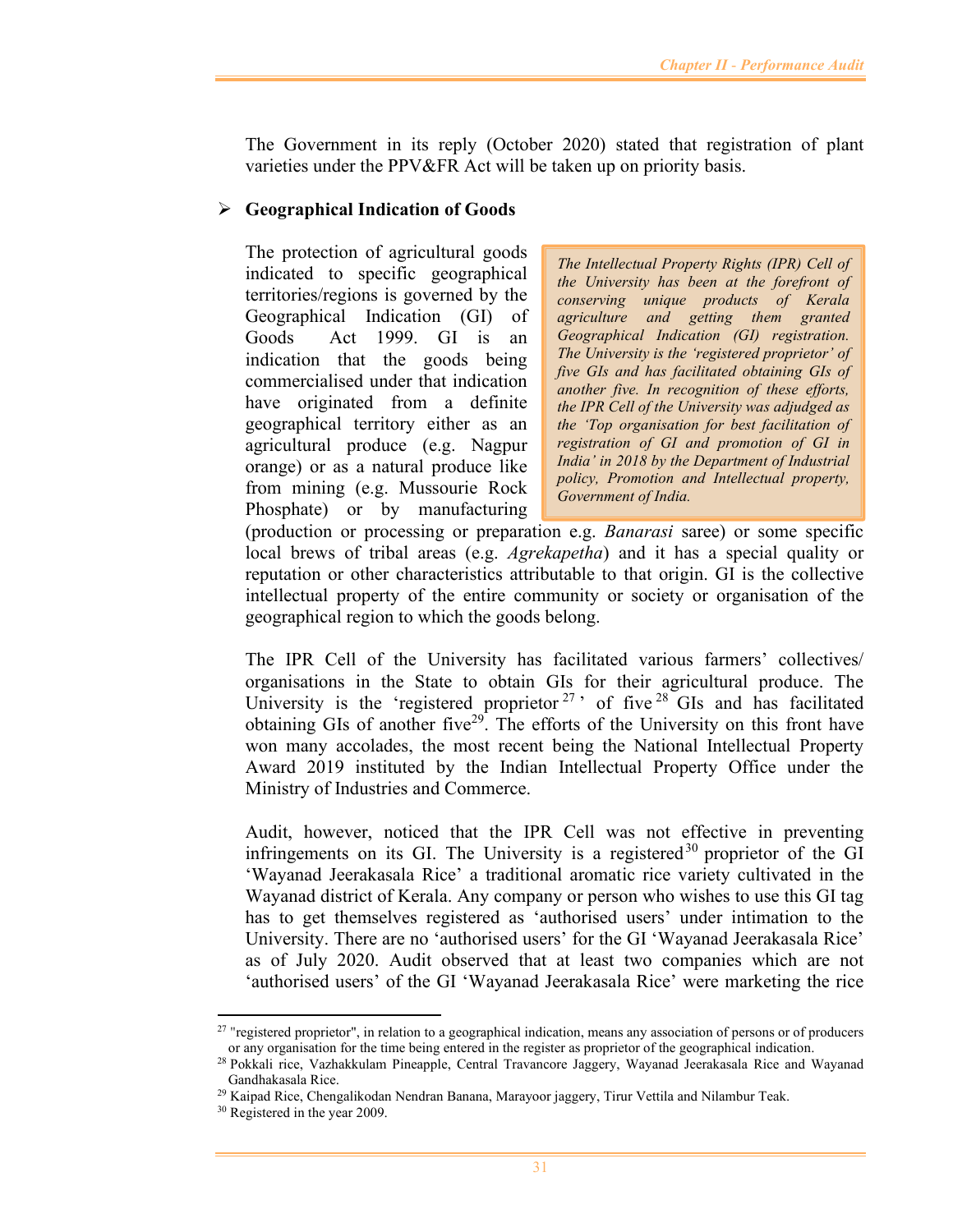The Government in its reply (October 2020) stated that registration of plant varieties under the PPV&FR Act will be taken up on priority basis.

## **Geographical Indication of Goods**

The protection of agricultural goods indicated to specific geographical territories/regions is governed by the Geographical Indication (GI) of Goods Act 1999. GI is an indication that the goods being commercialised under that indication have originated from a definite geographical territory either as an agricultural produce (e.g. Nagpur orange) or as a natural produce like from mining (e.g. Mussourie Rock Phosphate) or by manufacturing

*The Intellectual Property Rights (IPR) Cell of the University has been at the forefront of conserving unique products of Kerala agriculture and getting them granted Geographical Indication (GI) registration. The University is the 'registered proprietor' of five GIs and has facilitated obtaining GIs of another five. In recognition of these efforts, the IPR Cell of the University was adjudged as the 'Top organisation for best facilitation of registration of GI and promotion of GI in India' in 2018 by the Department of Industrial policy, Promotion and Intellectual property, Government of India.* 

(production or processing or preparation e.g. *Banarasi* saree) or some specific local brews of tribal areas (e.g. *Agrekapetha*) and it has a special quality or reputation or other characteristics attributable to that origin. GI is the collective intellectual property of the entire community or society or organisation of the geographical region to which the goods belong.

The IPR Cell of the University has facilitated various farmers' collectives/ organisations in the State to obtain GIs for their agricultural produce. The University is the 'registered proprietor<sup>27</sup>' of five<sup>28</sup> $\overline{G}$ Is and has facilitated obtaining GIs of another five<sup>29</sup>. The efforts of the University on this front have won many accolades, the most recent being the National Intellectual Property Award 2019 instituted by the Indian Intellectual Property Office under the Ministry of Industries and Commerce.

Audit, however, noticed that the IPR Cell was not effective in preventing infringements on its GI. The University is a registered  $30$  proprietor of the GI 'Wayanad Jeerakasala Rice' a traditional aromatic rice variety cultivated in the Wayanad district of Kerala. Any company or person who wishes to use this GI tag has to get themselves registered as 'authorised users' under intimation to the University. There are no 'authorised users' for the GI 'Wayanad Jeerakasala Rice' as of July 2020. Audit observed that at least two companies which are not 'authorised users' of the GI 'Wayanad Jeerakasala Rice' were marketing the rice

 $27$  "registered proprietor", in relation to a geographical indication, means any association of persons or of producers or any organisation for the time being entered in the register as proprietor of the geographical indication.

<sup>28</sup> Pokkali rice, Vazhakkulam Pineapple, Central Travancore Jaggery, Wayanad Jeerakasala Rice and Wayanad Gandhakasala Rice.

<sup>&</sup>lt;sup>29</sup> Kaipad Rice, Chengalikodan Nendran Banana, Marayoor jaggery, Tirur Vettila and Nilambur Teak.

<sup>&</sup>lt;sup>30</sup> Registered in the year 2009.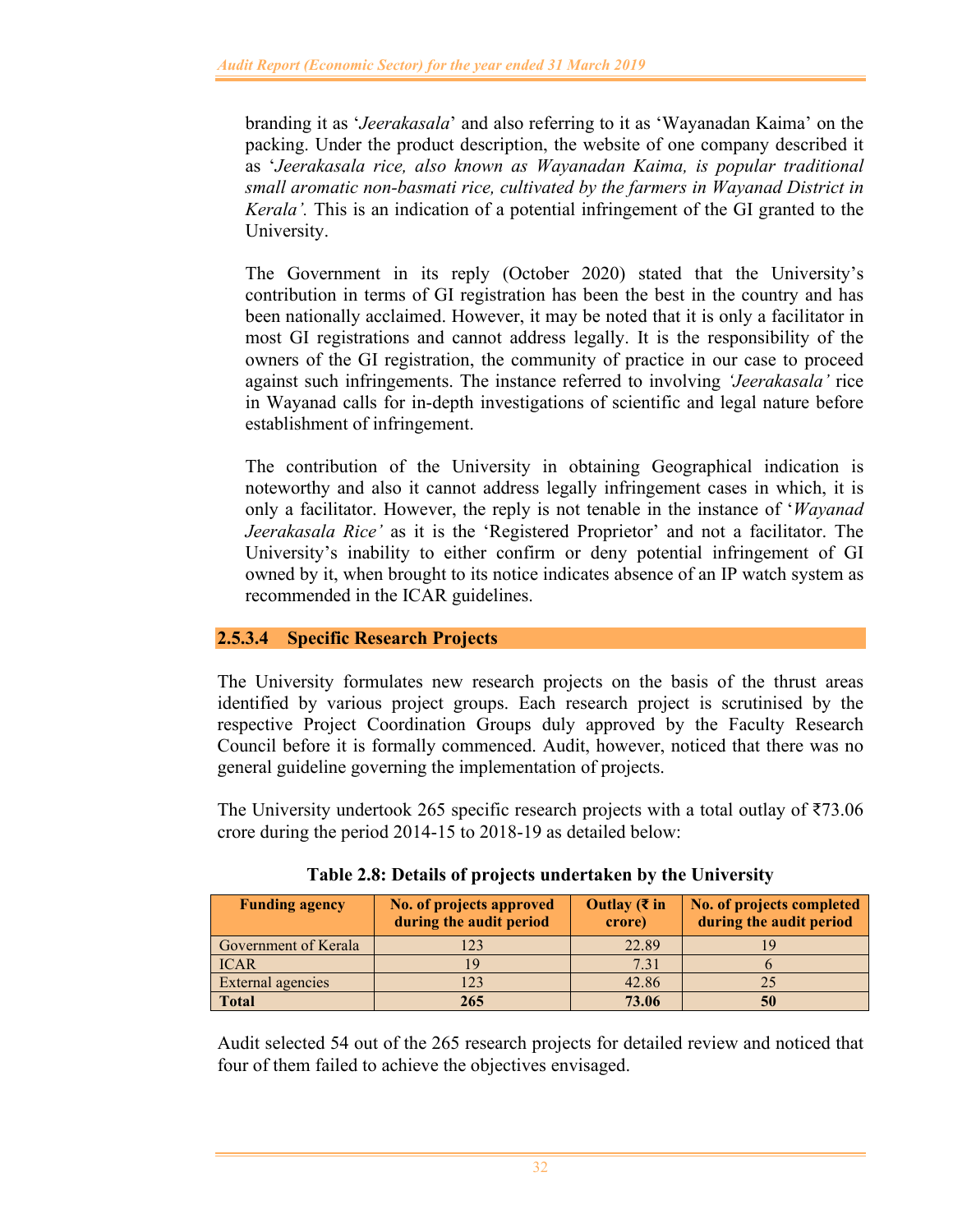branding it as '*Jeerakasala*' and also referring to it as 'Wayanadan Kaima' on the packing. Under the product description, the website of one company described it as '*Jeerakasala rice, also known as Wayanadan Kaima, is popular traditional small aromatic non-basmati rice, cultivated by the farmers in Wayanad District in Kerala'.* This is an indication of a potential infringement of the GI granted to the University.

The Government in its reply (October 2020) stated that the University's contribution in terms of GI registration has been the best in the country and has been nationally acclaimed. However, it may be noted that it is only a facilitator in most GI registrations and cannot address legally. It is the responsibility of the owners of the GI registration, the community of practice in our case to proceed against such infringements. The instance referred to involving *'Jeerakasala'* rice in Wayanad calls for in-depth investigations of scientific and legal nature before establishment of infringement.

The contribution of the University in obtaining Geographical indication is noteworthy and also it cannot address legally infringement cases in which, it is only a facilitator. However, the reply is not tenable in the instance of '*Wayanad Jeerakasala Rice'* as it is the 'Registered Proprietor' and not a facilitator. The University's inability to either confirm or deny potential infringement of GI owned by it, when brought to its notice indicates absence of an IP watch system as recommended in the ICAR guidelines.

# **2.5.3.4 Specific Research Projects**

The University formulates new research projects on the basis of the thrust areas identified by various project groups. Each research project is scrutinised by the respective Project Coordination Groups duly approved by the Faculty Research Council before it is formally commenced. Audit, however, noticed that there was no general guideline governing the implementation of projects.

The University undertook 265 specific research projects with a total outlay of ₹73.06 crore during the period 2014-15 to 2018-19 as detailed below:

| <b>Funding agency</b> | No. of projects approved<br>during the audit period | Outlay ( $\bar{\tau}$ in<br>crore) | No. of projects completed<br>during the audit period |
|-----------------------|-----------------------------------------------------|------------------------------------|------------------------------------------------------|
| Government of Kerala  | 123                                                 | 22.89                              |                                                      |
| <b>ICAR</b>           | <u>     Q</u>                                       | 7.31                               |                                                      |
| External agencies     | 123                                                 | 42.86                              |                                                      |
| Total                 | 265                                                 | 73.06                              | 50                                                   |

**Table 2.8: Details of projects undertaken by the University** 

Audit selected 54 out of the 265 research projects for detailed review and noticed that four of them failed to achieve the objectives envisaged.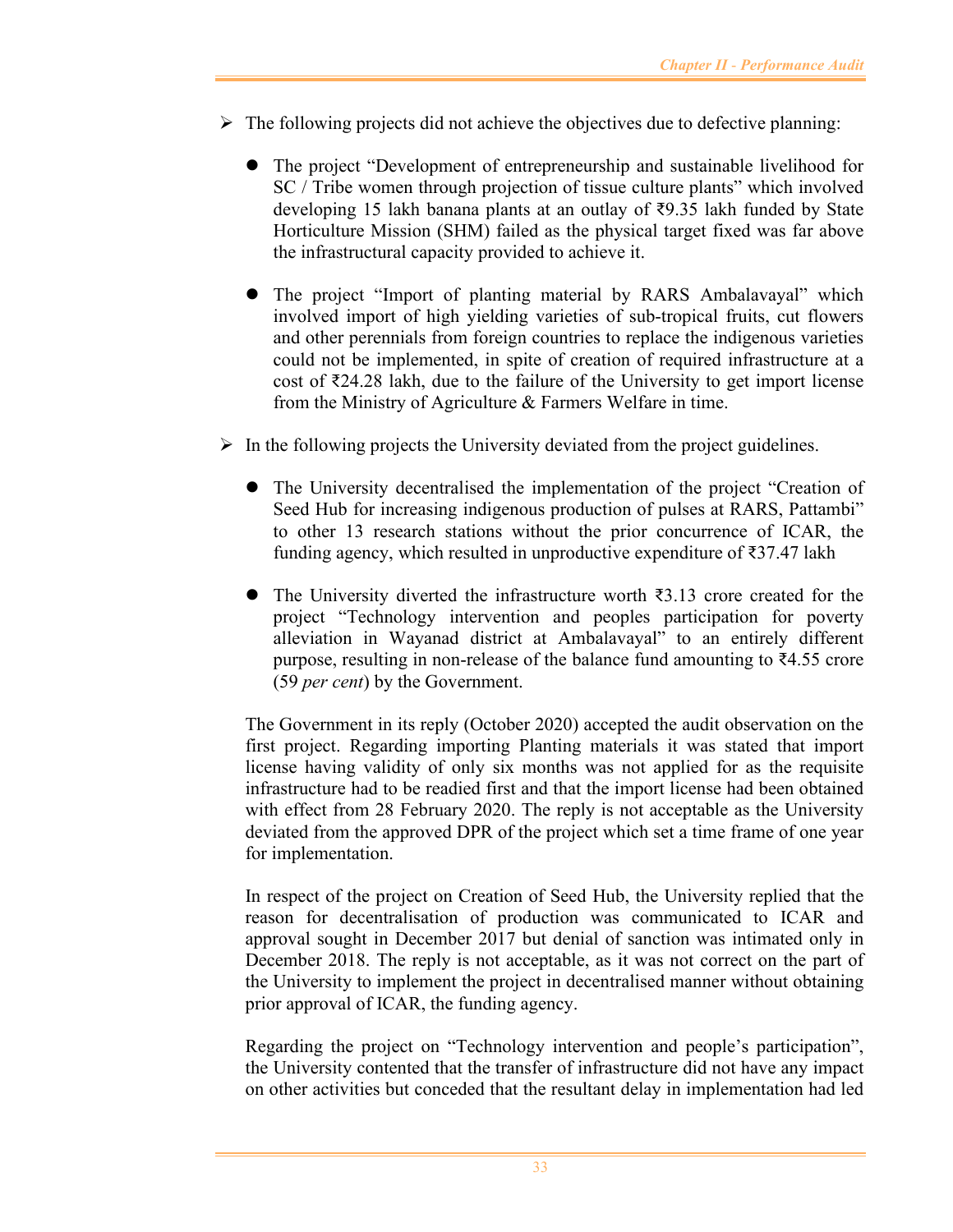- $\triangleright$  The following projects did not achieve the objectives due to defective planning:
	- The project "Development of entrepreneurship and sustainable livelihood for SC / Tribe women through projection of tissue culture plants" which involved developing 15 lakh banana plants at an outlay of ₹9.35 lakh funded by State Horticulture Mission (SHM) failed as the physical target fixed was far above the infrastructural capacity provided to achieve it.
	- The project "Import of planting material by RARS Ambalavayal" which involved import of high yielding varieties of sub-tropical fruits, cut flowers and other perennials from foreign countries to replace the indigenous varieties could not be implemented, in spite of creation of required infrastructure at a cost of ₹24.28 lakh, due to the failure of the University to get import license from the Ministry of Agriculture & Farmers Welfare in time.
- $\triangleright$  In the following projects the University deviated from the project guidelines.
	- The University decentralised the implementation of the project "Creation of Seed Hub for increasing indigenous production of pulses at RARS, Pattambi" to other 13 research stations without the prior concurrence of ICAR, the funding agency, which resulted in unproductive expenditure of ₹37.47 lakh
	- The University diverted the infrastructure worth  $\bar{\xi}$ 3.13 crore created for the project "Technology intervention and peoples participation for poverty alleviation in Wayanad district at Ambalavayal" to an entirely different purpose, resulting in non-release of the balance fund amounting to ₹4.55 crore (59 *per cent*) by the Government.

The Government in its reply (October 2020) accepted the audit observation on the first project. Regarding importing Planting materials it was stated that import license having validity of only six months was not applied for as the requisite infrastructure had to be readied first and that the import license had been obtained with effect from 28 February 2020. The reply is not acceptable as the University deviated from the approved DPR of the project which set a time frame of one year for implementation.

In respect of the project on Creation of Seed Hub, the University replied that the reason for decentralisation of production was communicated to ICAR and approval sought in December 2017 but denial of sanction was intimated only in December 2018. The reply is not acceptable, as it was not correct on the part of the University to implement the project in decentralised manner without obtaining prior approval of ICAR, the funding agency.

Regarding the project on "Technology intervention and people's participation", the University contented that the transfer of infrastructure did not have any impact on other activities but conceded that the resultant delay in implementation had led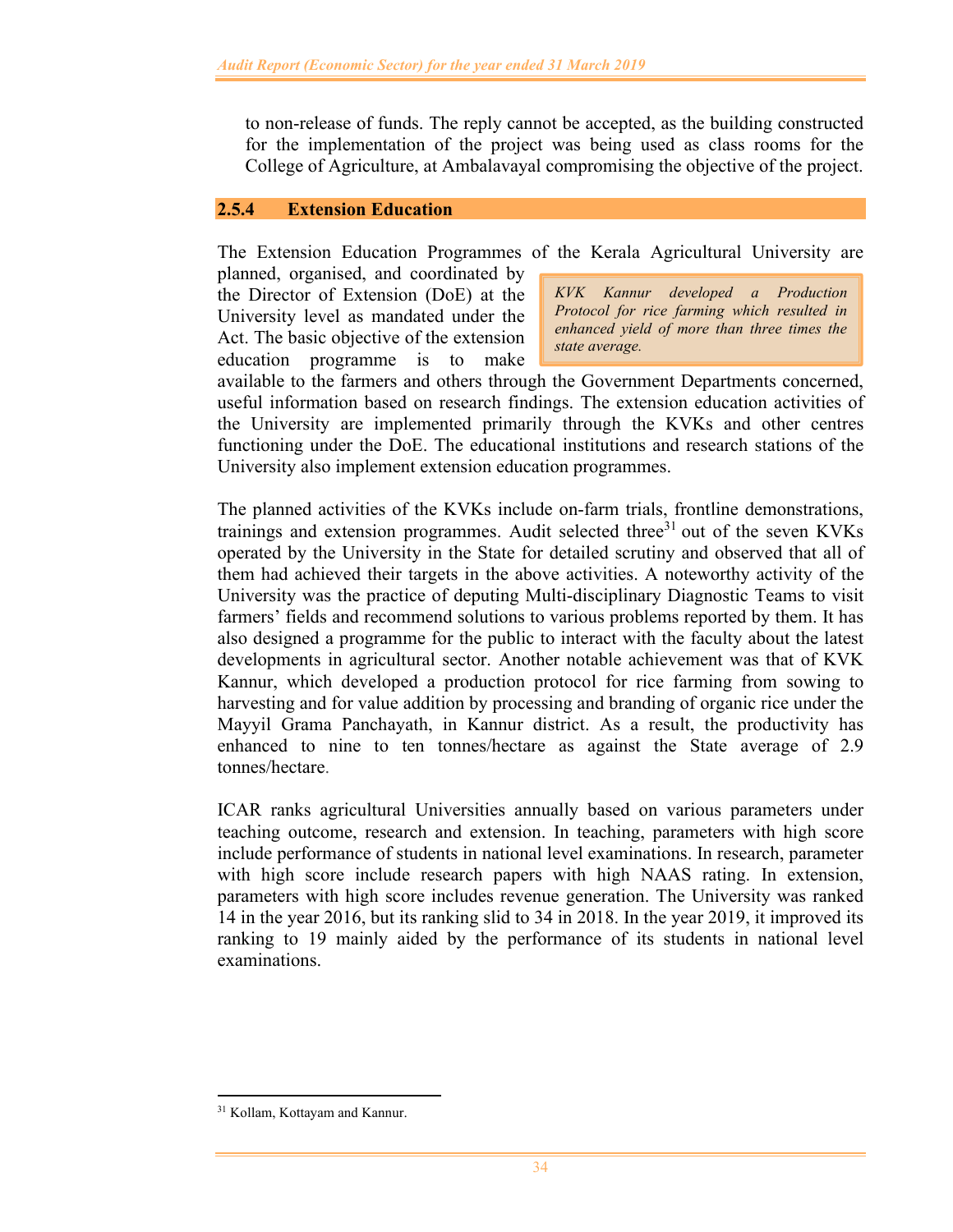to non-release of funds. The reply cannot be accepted, as the building constructed for the implementation of the project was being used as class rooms for the College of Agriculture, at Ambalavayal compromising the objective of the project.

### **2.5.4 Extension Education**

The Extension Education Programmes of the Kerala Agricultural University are

planned, organised, and coordinated by the Director of Extension (DoE) at the University level as mandated under the Act. The basic objective of the extension education programme is to make

*KVK Kannur developed a Production Protocol for rice farming which resulted in enhanced yield of more than three times the state average.* 

available to the farmers and others through the Government Departments concerned, useful information based on research findings. The extension education activities of the University are implemented primarily through the KVKs and other centres functioning under the DoE. The educational institutions and research stations of the University also implement extension education programmes.

The planned activities of the KVKs include on-farm trials, frontline demonstrations, trainings and extension programmes. Audit selected three $31$  out of the seven KVKs operated by the University in the State for detailed scrutiny and observed that all of them had achieved their targets in the above activities. A noteworthy activity of the University was the practice of deputing Multi-disciplinary Diagnostic Teams to visit farmers' fields and recommend solutions to various problems reported by them. It has also designed a programme for the public to interact with the faculty about the latest developments in agricultural sector. Another notable achievement was that of KVK Kannur, which developed a production protocol for rice farming from sowing to harvesting and for value addition by processing and branding of organic rice under the Mayyil Grama Panchayath, in Kannur district. As a result, the productivity has enhanced to nine to ten tonnes/hectare as against the State average of 2.9 tonnes/hectare.

ICAR ranks agricultural Universities annually based on various parameters under teaching outcome, research and extension. In teaching, parameters with high score include performance of students in national level examinations. In research, parameter with high score include research papers with high NAAS rating. In extension, parameters with high score includes revenue generation. The University was ranked 14 in the year 2016, but its ranking slid to 34 in 2018. In the year 2019, it improved its ranking to 19 mainly aided by the performance of its students in national level examinations.

<sup>&</sup>lt;sup>31</sup> Kollam, Kottayam and Kannur.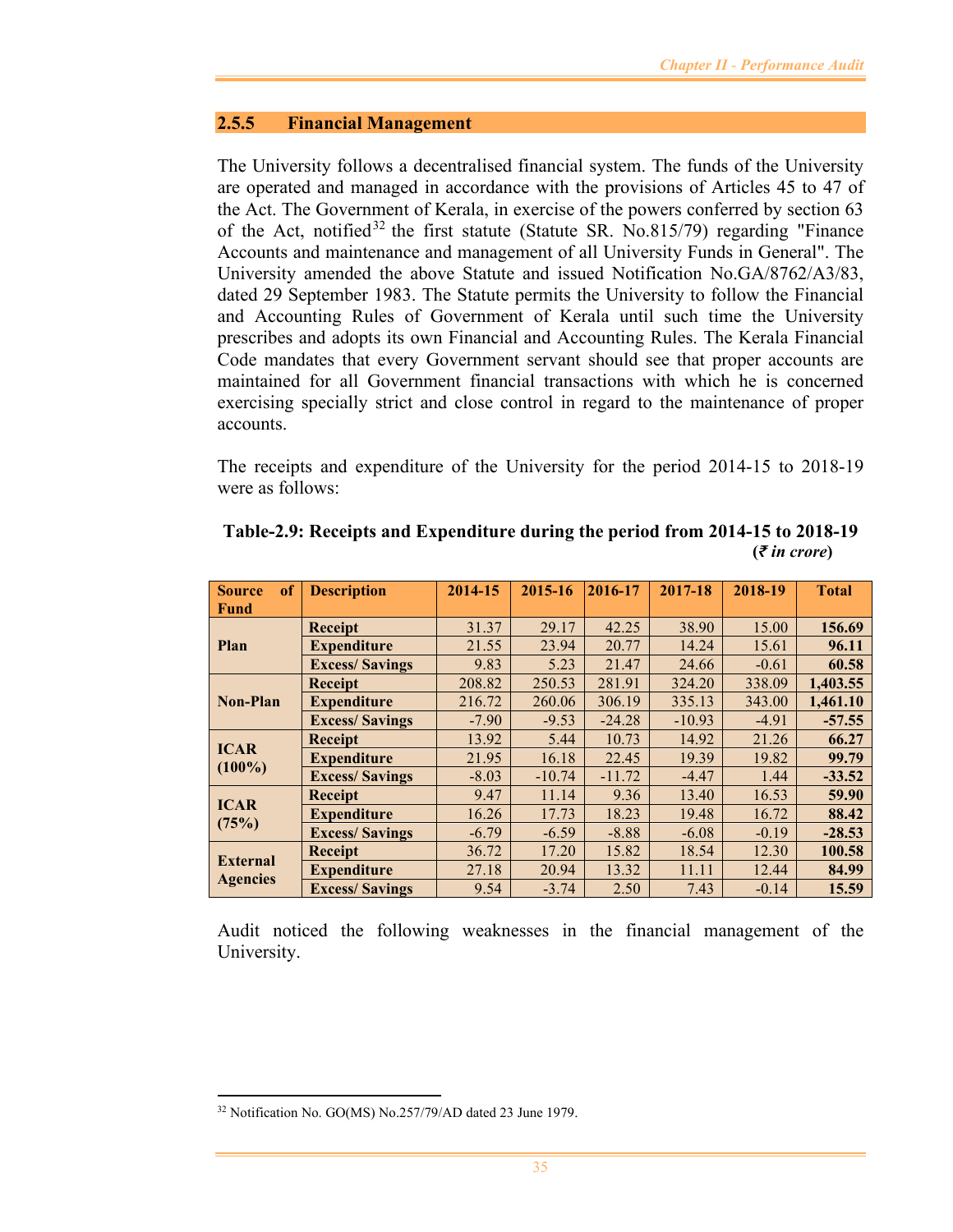### **2.5.5 Financial Management**

The University follows a decentralised financial system. The funds of the University are operated and managed in accordance with the provisions of Articles 45 to 47 of the Act. The Government of Kerala, in exercise of the powers conferred by section 63 of the Act, notified<sup>32</sup> the first statute (Statute SR. No.815/79) regarding "Finance Accounts and maintenance and management of all University Funds in General". The University amended the above Statute and issued Notification No.GA/8762/A3/83, dated 29 September 1983. The Statute permits the University to follow the Financial and Accounting Rules of Government of Kerala until such time the University prescribes and adopts its own Financial and Accounting Rules. The Kerala Financial Code mandates that every Government servant should see that proper accounts are maintained for all Government financial transactions with which he is concerned exercising specially strict and close control in regard to the maintenance of proper accounts.

The receipts and expenditure of the University for the period 2014-15 to 2018-19 were as follows:

| <sub>of</sub><br><b>Source</b> | <b>Description</b>    | 2014-15 | 2015-16  | 2016-17  | 2017-18  | 2018-19 | <b>Total</b> |
|--------------------------------|-----------------------|---------|----------|----------|----------|---------|--------------|
| <b>Fund</b>                    |                       |         |          |          |          |         |              |
|                                | Receipt               | 31.37   | 29.17    | 42.25    | 38.90    | 15.00   | 156.69       |
| Plan                           | <b>Expenditure</b>    | 21.55   | 23.94    | 20.77    | 14.24    | 15.61   | 96.11        |
|                                | <b>Excess/Savings</b> | 9.83    | 5.23     | 21.47    | 24.66    | $-0.61$ | 60.58        |
|                                | <b>Receipt</b>        | 208.82  | 250.53   | 281.91   | 324.20   | 338.09  | 1,403.55     |
| <b>Non-Plan</b>                | <b>Expenditure</b>    | 216.72  | 260.06   | 306.19   | 335.13   | 343.00  | 1,461.10     |
|                                | <b>Excess/Savings</b> | $-7.90$ | $-9.53$  | $-24.28$ | $-10.93$ | $-4.91$ | $-57.55$     |
| <b>ICAR</b>                    | <b>Receipt</b>        | 13.92   | 5.44     | 10.73    | 14.92    | 21.26   | 66.27        |
| $(100\%)$                      | <b>Expenditure</b>    | 21.95   | 16.18    | 22.45    | 19.39    | 19.82   | 99.79        |
|                                | <b>Excess/Savings</b> | $-8.03$ | $-10.74$ | $-11.72$ | $-4.47$  | 1.44    | $-33.52$     |
| <b>ICAR</b>                    | <b>Receipt</b>        | 9.47    | 11.14    | 9.36     | 13.40    | 16.53   | 59.90        |
|                                | <b>Expenditure</b>    | 16.26   | 17.73    | 18.23    | 19.48    | 16.72   | 88.42        |
| (75%)                          | <b>Excess/Savings</b> | $-6.79$ | $-6.59$  | $-8.88$  | $-6.08$  | $-0.19$ | $-28.53$     |
| <b>External</b>                | <b>Receipt</b>        | 36.72   | 17.20    | 15.82    | 18.54    | 12.30   | 100.58       |
|                                | <b>Expenditure</b>    | 27.18   | 20.94    | 13.32    | 11.11    | 12.44   | 84.99        |
| <b>Agencies</b>                | <b>Excess/Savings</b> | 9.54    | $-3.74$  | 2.50     | 7.43     | $-0.14$ | 15.59        |

**Table-2.9: Receipts and Expenditure during the period from 2014-15 to 2018-19 (***₹ in crore***)** 

Audit noticed the following weaknesses in the financial management of the University.

<sup>32</sup> Notification No. GO(MS) No.257/79/AD dated 23 June 1979.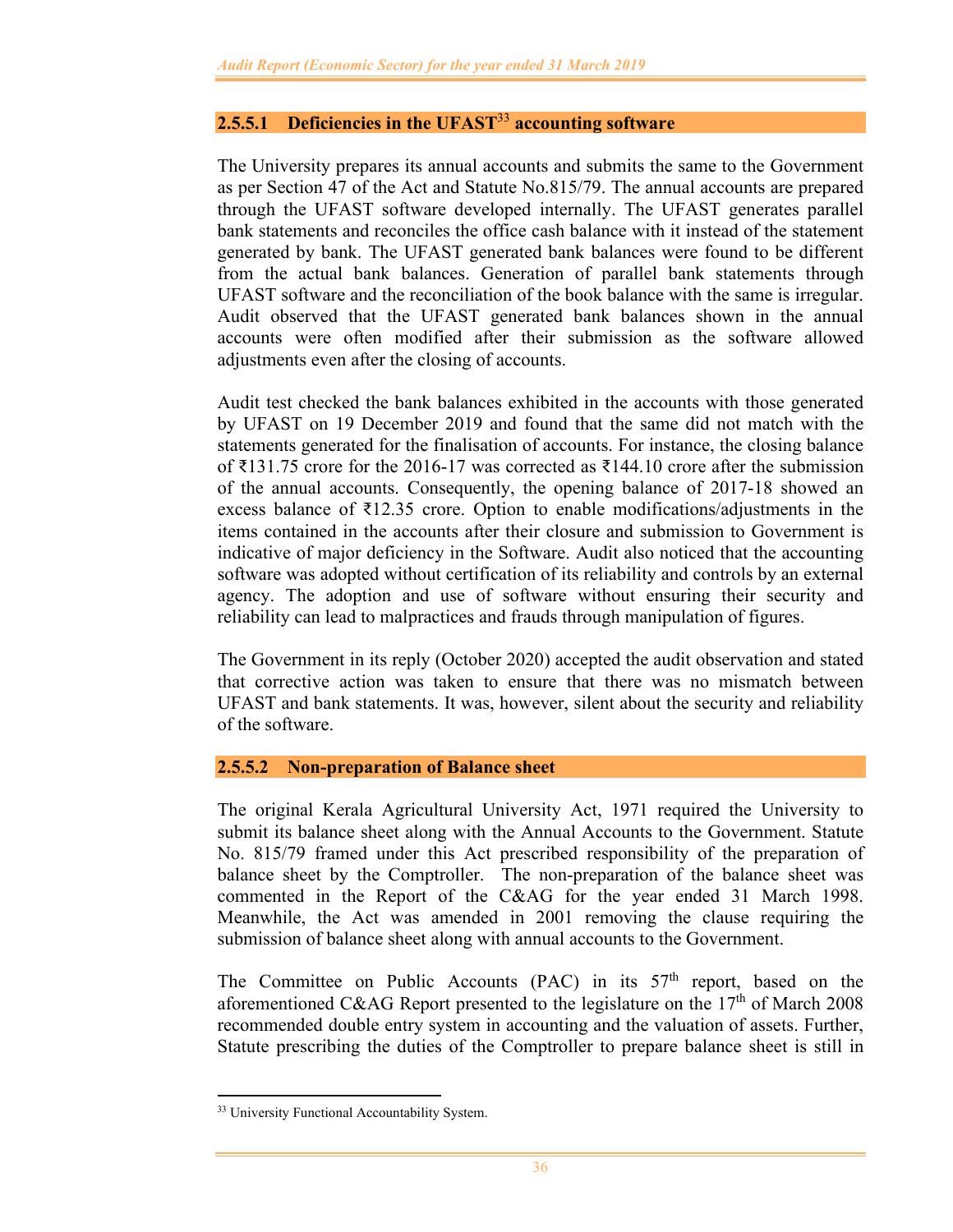## **2.5.5.1 Deficiencies in the UFAST**<sup>33</sup> **accounting software**

The University prepares its annual accounts and submits the same to the Government as per Section 47 of the Act and Statute No.815/79. The annual accounts are prepared through the UFAST software developed internally. The UFAST generates parallel bank statements and reconciles the office cash balance with it instead of the statement generated by bank. The UFAST generated bank balances were found to be different from the actual bank balances. Generation of parallel bank statements through UFAST software and the reconciliation of the book balance with the same is irregular. Audit observed that the UFAST generated bank balances shown in the annual accounts were often modified after their submission as the software allowed adjustments even after the closing of accounts.

Audit test checked the bank balances exhibited in the accounts with those generated by UFAST on 19 December 2019 and found that the same did not match with the statements generated for the finalisation of accounts. For instance, the closing balance of ₹131.75 crore for the 2016-17 was corrected as ₹144.10 crore after the submission of the annual accounts. Consequently, the opening balance of 2017-18 showed an excess balance of ₹12.35 crore. Option to enable modifications/adjustments in the items contained in the accounts after their closure and submission to Government is indicative of major deficiency in the Software. Audit also noticed that the accounting software was adopted without certification of its reliability and controls by an external agency. The adoption and use of software without ensuring their security and reliability can lead to malpractices and frauds through manipulation of figures.

The Government in its reply (October 2020) accepted the audit observation and stated that corrective action was taken to ensure that there was no mismatch between UFAST and bank statements. It was, however, silent about the security and reliability of the software.

#### **2.5.5.2 Non-preparation of Balance sheet**

The original Kerala Agricultural University Act, 1971 required the University to submit its balance sheet along with the Annual Accounts to the Government. Statute No. 815/79 framed under this Act prescribed responsibility of the preparation of balance sheet by the Comptroller. The non-preparation of the balance sheet was commented in the Report of the C&AG for the year ended 31 March 1998. Meanwhile, the Act was amended in 2001 removing the clause requiring the submission of balance sheet along with annual accounts to the Government.

The Committee on Public Accounts (PAC) in its 57<sup>th</sup> report, based on the aforementioned C&AG Report presented to the legislature on the 17<sup>th</sup> of March 2008 recommended double entry system in accounting and the valuation of assets. Further, Statute prescribing the duties of the Comptroller to prepare balance sheet is still in

<sup>&</sup>lt;sup>33</sup> University Functional Accountability System.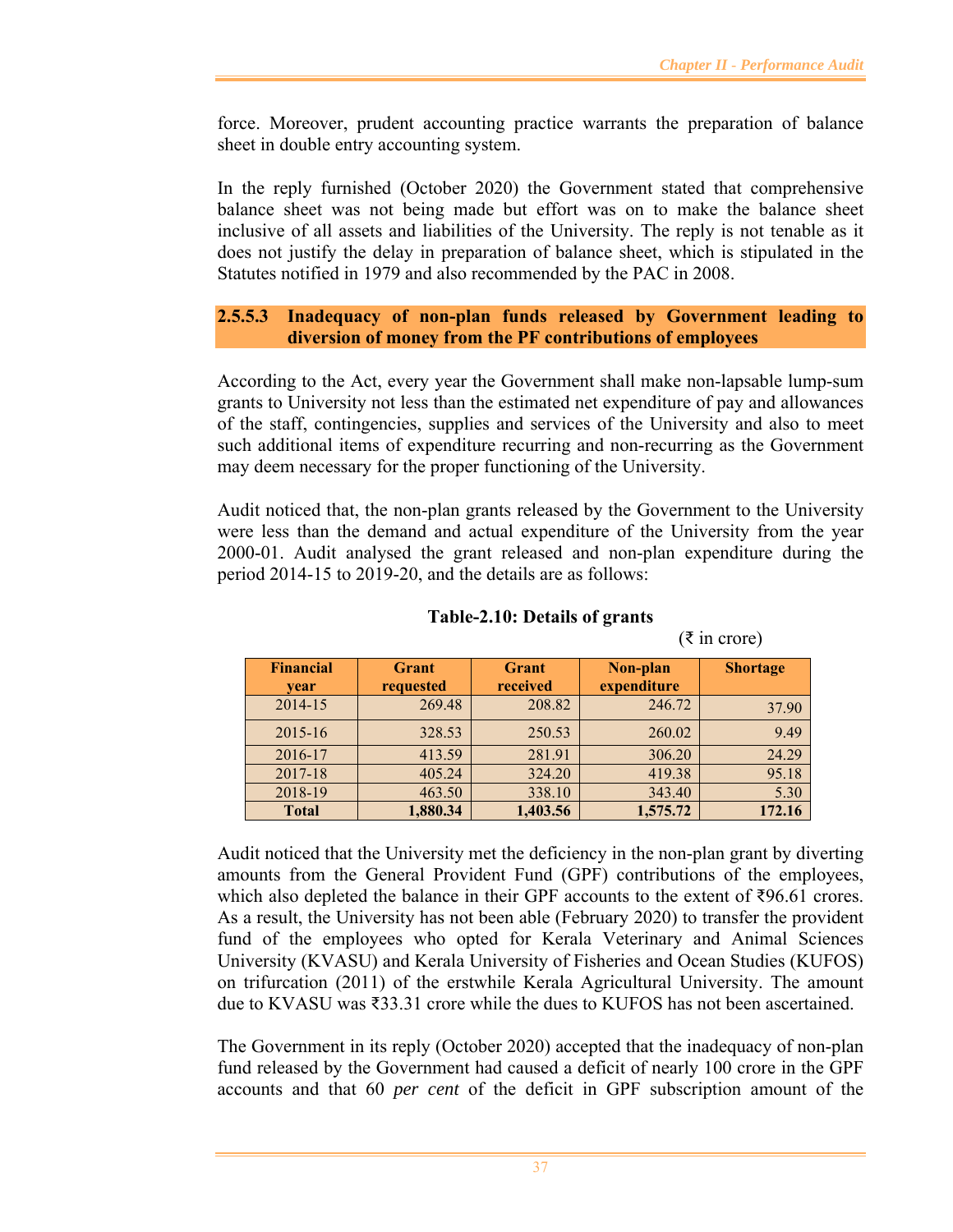$(\bar{\xi}$  in crore)

force. Moreover, prudent accounting practice warrants the preparation of balance sheet in double entry accounting system.

In the reply furnished (October 2020) the Government stated that comprehensive balance sheet was not being made but effort was on to make the balance sheet inclusive of all assets and liabilities of the University. The reply is not tenable as it does not justify the delay in preparation of balance sheet, which is stipulated in the Statutes notified in 1979 and also recommended by the PAC in 2008.

## **2.5.5.3 Inadequacy of non-plan funds released by Government leading to diversion of money from the PF contributions of employees**

According to the Act, every year the Government shall make non-lapsable lump-sum grants to University not less than the estimated net expenditure of pay and allowances of the staff, contingencies, supplies and services of the University and also to meet such additional items of expenditure recurring and non-recurring as the Government may deem necessary for the proper functioning of the University.

Audit noticed that, the non-plan grants released by the Government to the University were less than the demand and actual expenditure of the University from the year 2000-01. Audit analysed the grant released and non-plan expenditure during the period 2014-15 to 2019-20, and the details are as follows:

| <b>Financial</b><br>vear | <b>Grant</b><br>requested | <b>Grant</b><br>received | Non-plan<br>expenditure | <b>Shortage</b> |
|--------------------------|---------------------------|--------------------------|-------------------------|-----------------|
| 2014-15                  | 269.48                    | 208.82                   | 246.72                  | 37.90           |
| $2015 - 16$              | 328.53                    | 250.53                   | 260.02                  | 9.49            |
| 2016-17                  | 413.59                    | 281.91                   | 306.20                  | 24.29           |
| 2017-18                  | 405.24                    | 324.20                   | 419.38                  | 95.18           |
| 2018-19                  | 463.50                    | 338.10                   | 343.40                  | 5.30            |
| <b>Total</b>             | 1,880.34                  | 1,403.56                 | 1,575.72                | 172.16          |

# **Table-2.10: Details of grants**

Audit noticed that the University met the deficiency in the non-plan grant by diverting amounts from the General Provident Fund (GPF) contributions of the employees, which also depleted the balance in their GPF accounts to the extent of ₹96.61 crores. As a result, the University has not been able (February 2020) to transfer the provident fund of the employees who opted for Kerala Veterinary and Animal Sciences University (KVASU) and Kerala University of Fisheries and Ocean Studies (KUFOS) on trifurcation (2011) of the erstwhile Kerala Agricultural University. The amount due to KVASU was ₹33.31 crore while the dues to KUFOS has not been ascertained.

The Government in its reply (October 2020) accepted that the inadequacy of non-plan fund released by the Government had caused a deficit of nearly 100 crore in the GPF accounts and that 60 *per cent* of the deficit in GPF subscription amount of the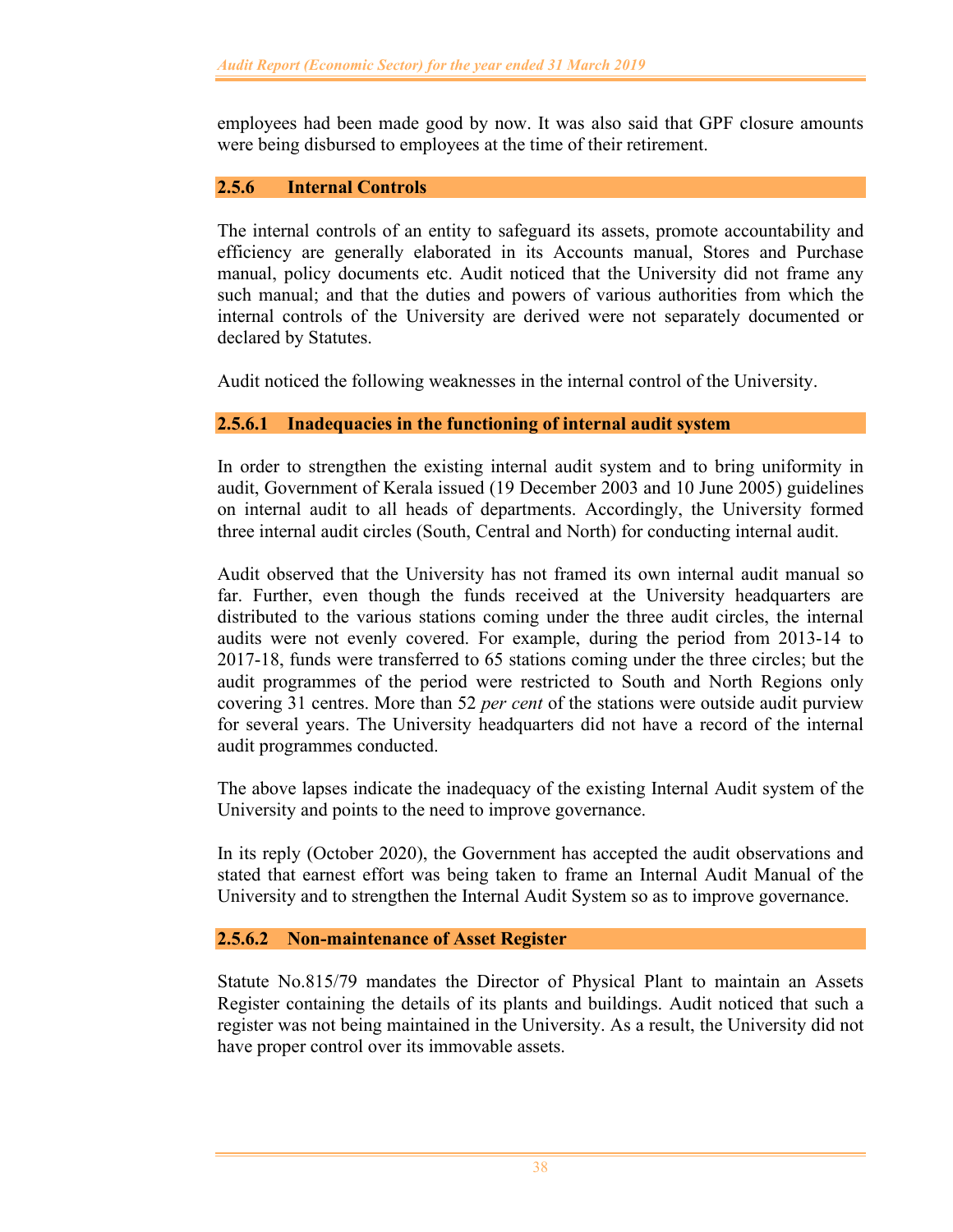employees had been made good by now. It was also said that GPF closure amounts were being disbursed to employees at the time of their retirement.

## **2.5.6 Internal Controls**

The internal controls of an entity to safeguard its assets, promote accountability and efficiency are generally elaborated in its Accounts manual, Stores and Purchase manual, policy documents etc. Audit noticed that the University did not frame any such manual; and that the duties and powers of various authorities from which the internal controls of the University are derived were not separately documented or declared by Statutes.

Audit noticed the following weaknesses in the internal control of the University.

### **2.5.6.1 Inadequacies in the functioning of internal audit system**

In order to strengthen the existing internal audit system and to bring uniformity in audit, Government of Kerala issued (19 December 2003 and 10 June 2005) guidelines on internal audit to all heads of departments. Accordingly, the University formed three internal audit circles (South, Central and North) for conducting internal audit.

Audit observed that the University has not framed its own internal audit manual so far. Further, even though the funds received at the University headquarters are distributed to the various stations coming under the three audit circles, the internal audits were not evenly covered. For example, during the period from 2013-14 to 2017-18, funds were transferred to 65 stations coming under the three circles; but the audit programmes of the period were restricted to South and North Regions only covering 31 centres. More than 52 *per cent* of the stations were outside audit purview for several years. The University headquarters did not have a record of the internal audit programmes conducted.

The above lapses indicate the inadequacy of the existing Internal Audit system of the University and points to the need to improve governance.

In its reply (October 2020), the Government has accepted the audit observations and stated that earnest effort was being taken to frame an Internal Audit Manual of the University and to strengthen the Internal Audit System so as to improve governance.

#### **2.5.6.2 Non-maintenance of Asset Register**

Statute No.815/79 mandates the Director of Physical Plant to maintain an Assets Register containing the details of its plants and buildings. Audit noticed that such a register was not being maintained in the University. As a result, the University did not have proper control over its immovable assets.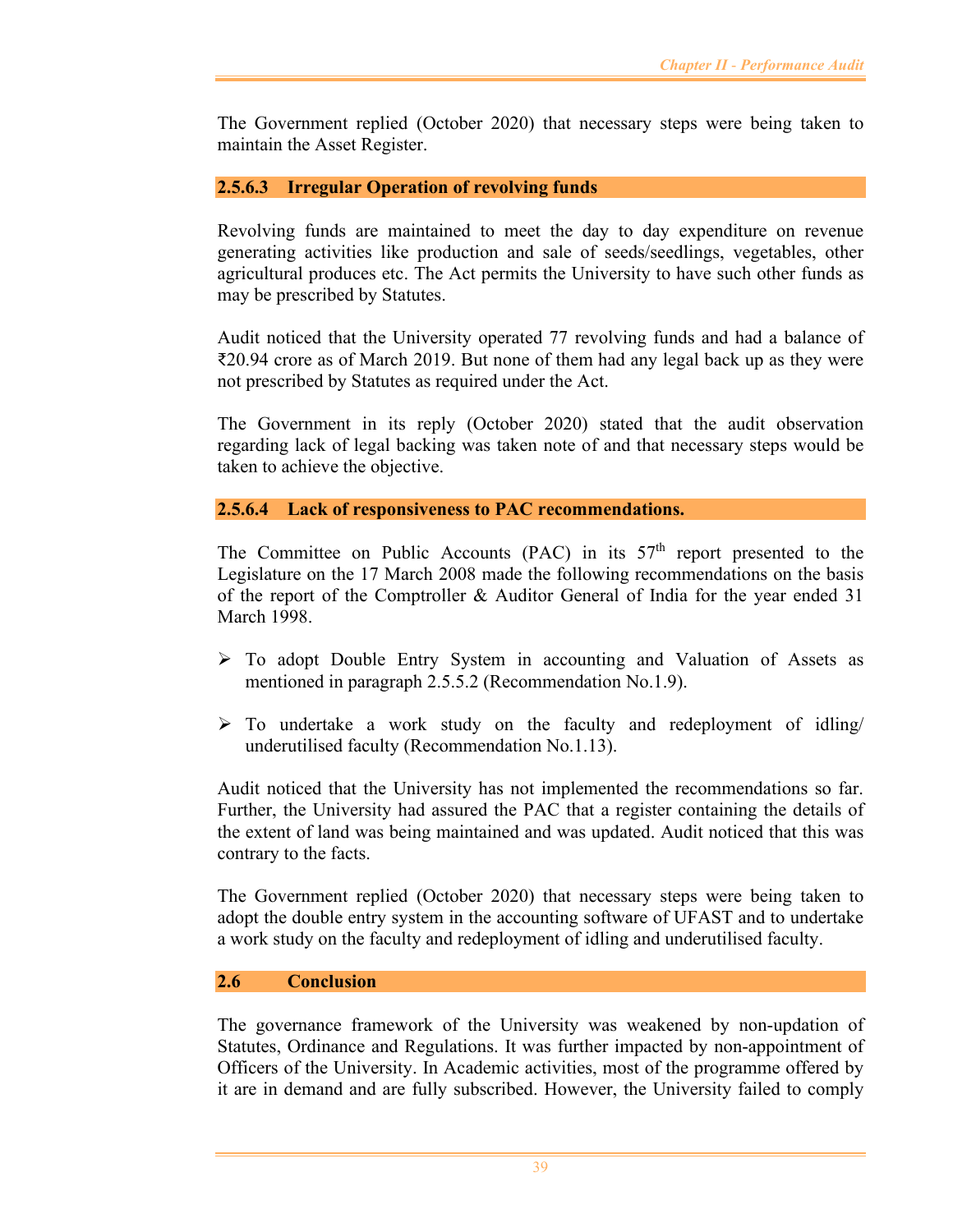The Government replied (October 2020) that necessary steps were being taken to maintain the Asset Register.

## **2.5.6.3 Irregular Operation of revolving funds**

Revolving funds are maintained to meet the day to day expenditure on revenue generating activities like production and sale of seeds/seedlings, vegetables, other agricultural produces etc. The Act permits the University to have such other funds as may be prescribed by Statutes.

Audit noticed that the University operated 77 revolving funds and had a balance of ₹20.94 crore as of March 2019. But none of them had any legal back up as they were not prescribed by Statutes as required under the Act.

The Government in its reply (October 2020) stated that the audit observation regarding lack of legal backing was taken note of and that necessary steps would be taken to achieve the objective.

### **2.5.6.4 Lack of responsiveness to PAC recommendations.**

The Committee on Public Accounts (PAC) in its  $57<sup>th</sup>$  report presented to the Legislature on the 17 March 2008 made the following recommendations on the basis of the report of the Comptroller & Auditor General of India for the year ended 31 March 1998.

- $\triangleright$  To adopt Double Entry System in accounting and Valuation of Assets as mentioned in paragraph 2.5.5.2 (Recommendation No.1.9).
- $\triangleright$  To undertake a work study on the faculty and redeployment of idling/ underutilised faculty (Recommendation No.1.13).

Audit noticed that the University has not implemented the recommendations so far. Further, the University had assured the PAC that a register containing the details of the extent of land was being maintained and was updated. Audit noticed that this was contrary to the facts.

The Government replied (October 2020) that necessary steps were being taken to adopt the double entry system in the accounting software of UFAST and to undertake a work study on the faculty and redeployment of idling and underutilised faculty.

#### **2.6 Conclusion**

The governance framework of the University was weakened by non-updation of Statutes, Ordinance and Regulations. It was further impacted by non-appointment of Officers of the University. In Academic activities, most of the programme offered by it are in demand and are fully subscribed. However, the University failed to comply